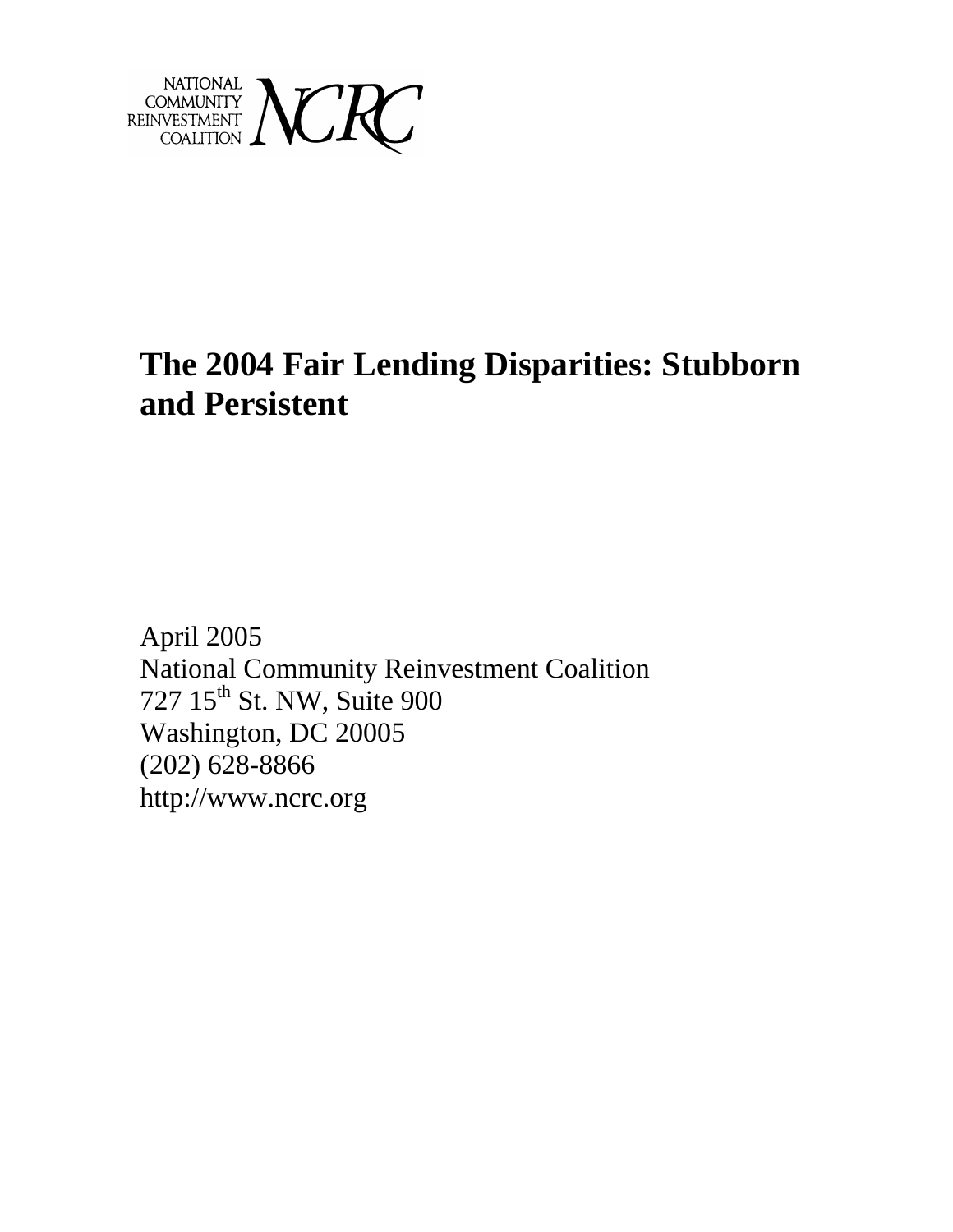

# **The 2004 Fair Lending Disparities: Stubborn and Persistent**

April 2005 National Community Reinvestment Coalition 727 15<sup>th</sup> St. NW, Suite 900 Washington, DC 20005 (202) 628-8866 http://www.ncrc.org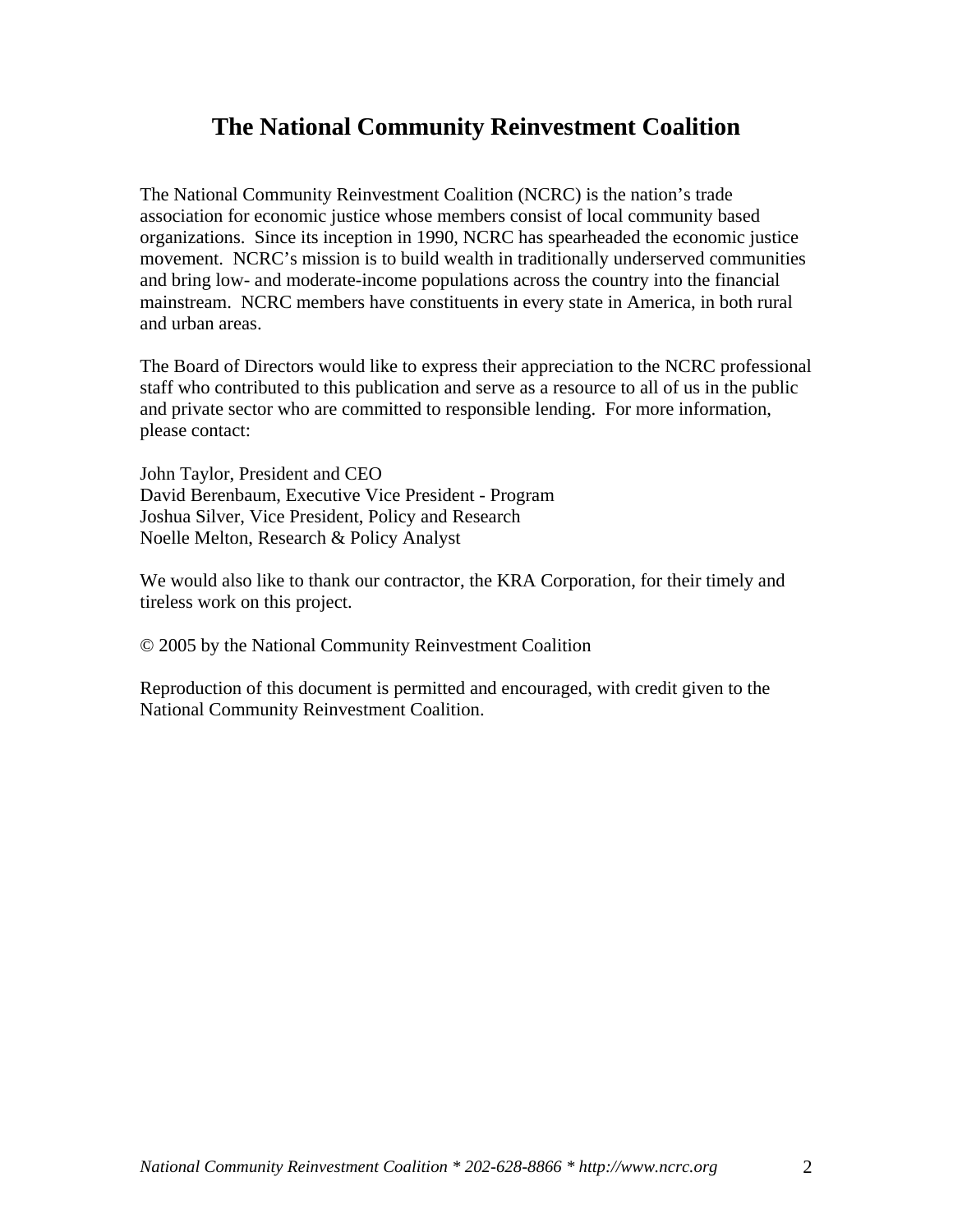### **The National Community Reinvestment Coalition**

The National Community Reinvestment Coalition (NCRC) is the nation's trade association for economic justice whose members consist of local community based organizations. Since its inception in 1990, NCRC has spearheaded the economic justice movement. NCRC's mission is to build wealth in traditionally underserved communities and bring low- and moderate-income populations across the country into the financial mainstream. NCRC members have constituents in every state in America, in both rural and urban areas.

The Board of Directors would like to express their appreciation to the NCRC professional staff who contributed to this publication and serve as a resource to all of us in the public and private sector who are committed to responsible lending. For more information, please contact:

John Taylor, President and CEO David Berenbaum, Executive Vice President - Program Joshua Silver, Vice President, Policy and Research Noelle Melton, Research & Policy Analyst

We would also like to thank our contractor, the KRA Corporation, for their timely and tireless work on this project.

© 2005 by the National Community Reinvestment Coalition

Reproduction of this document is permitted and encouraged, with credit given to the National Community Reinvestment Coalition.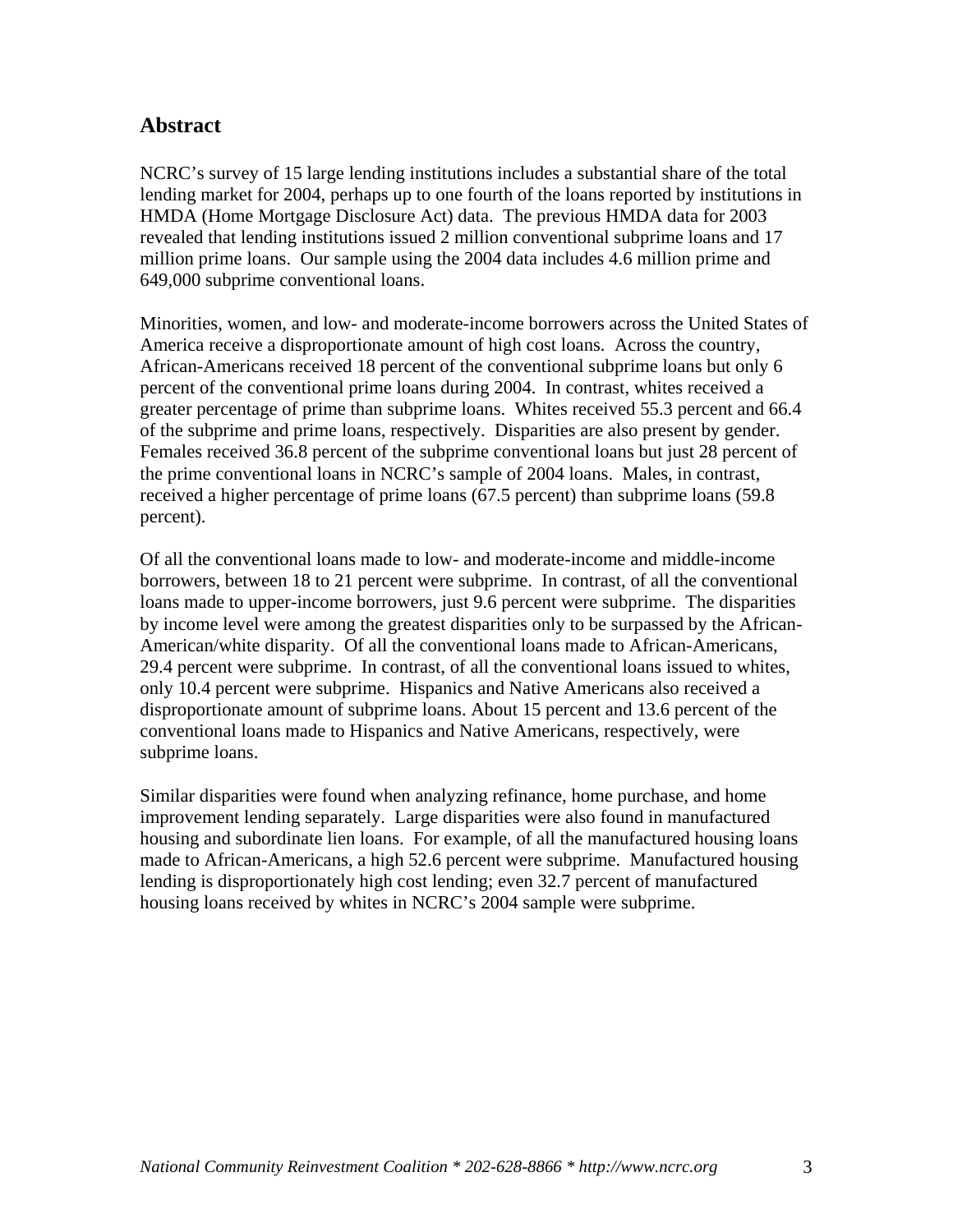#### **Abstract**

NCRC's survey of 15 large lending institutions includes a substantial share of the total lending market for 2004, perhaps up to one fourth of the loans reported by institutions in HMDA (Home Mortgage Disclosure Act) data. The previous HMDA data for 2003 revealed that lending institutions issued 2 million conventional subprime loans and 17 million prime loans. Our sample using the 2004 data includes 4.6 million prime and 649,000 subprime conventional loans.

Minorities, women, and low- and moderate-income borrowers across the United States of America receive a disproportionate amount of high cost loans. Across the country, African-Americans received 18 percent of the conventional subprime loans but only 6 percent of the conventional prime loans during 2004. In contrast, whites received a greater percentage of prime than subprime loans. Whites received 55.3 percent and 66.4 of the subprime and prime loans, respectively. Disparities are also present by gender. Females received 36.8 percent of the subprime conventional loans but just 28 percent of the prime conventional loans in NCRC's sample of 2004 loans. Males, in contrast, received a higher percentage of prime loans (67.5 percent) than subprime loans (59.8 percent).

Of all the conventional loans made to low- and moderate-income and middle-income borrowers, between 18 to 21 percent were subprime. In contrast, of all the conventional loans made to upper-income borrowers, just 9.6 percent were subprime. The disparities by income level were among the greatest disparities only to be surpassed by the African-American/white disparity. Of all the conventional loans made to African-Americans, 29.4 percent were subprime. In contrast, of all the conventional loans issued to whites, only 10.4 percent were subprime. Hispanics and Native Americans also received a disproportionate amount of subprime loans. About 15 percent and 13.6 percent of the conventional loans made to Hispanics and Native Americans, respectively, were subprime loans.

Similar disparities were found when analyzing refinance, home purchase, and home improvement lending separately. Large disparities were also found in manufactured housing and subordinate lien loans. For example, of all the manufactured housing loans made to African-Americans, a high 52.6 percent were subprime. Manufactured housing lending is disproportionately high cost lending; even 32.7 percent of manufactured housing loans received by whites in NCRC's 2004 sample were subprime.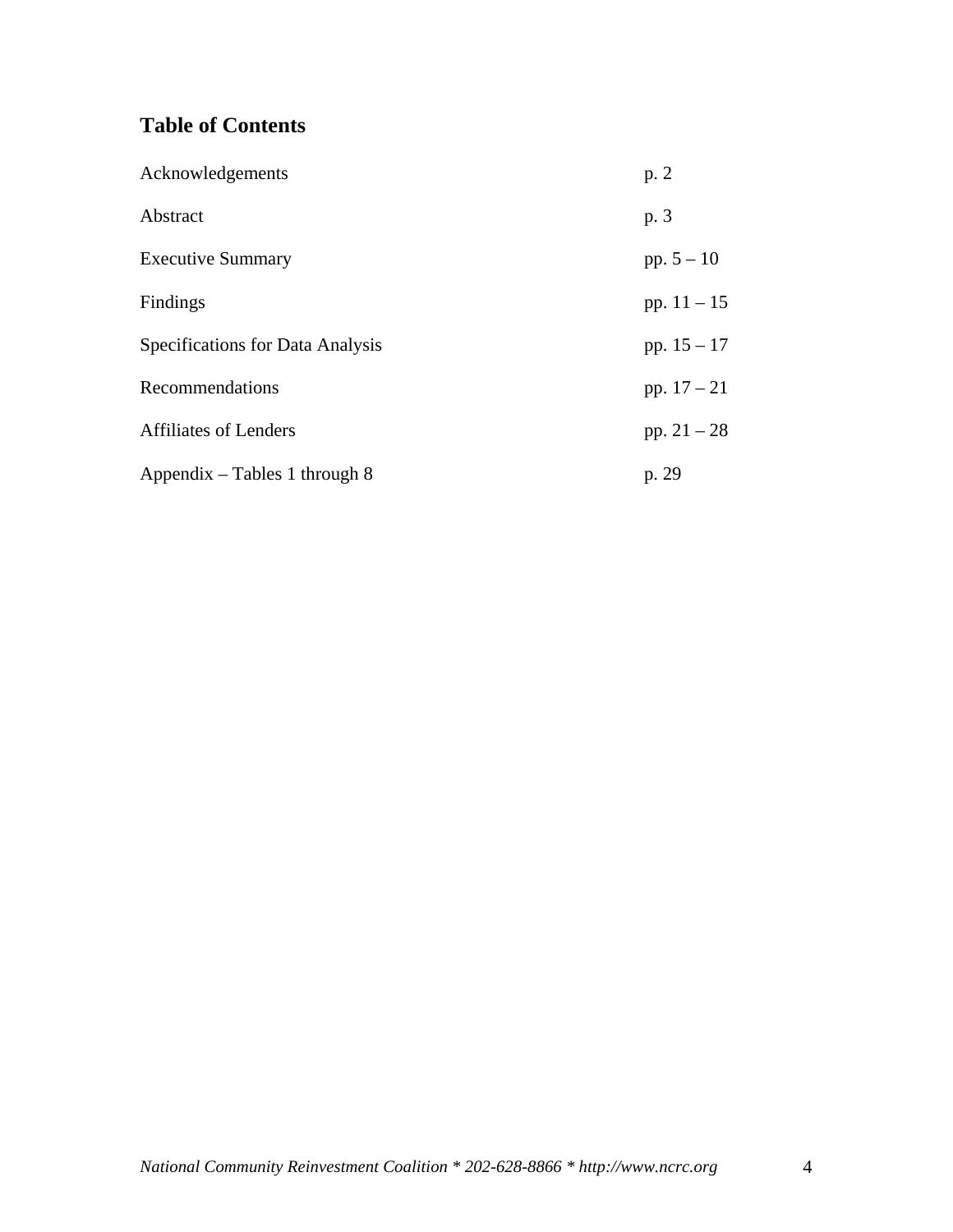### **Table of Contents**

| Acknowledgements                        | p.2           |
|-----------------------------------------|---------------|
| Abstract                                | p. 3          |
| <b>Executive Summary</b>                | pp. $5 - 10$  |
| Findings                                | pp. $11 - 15$ |
| <b>Specifications for Data Analysis</b> | pp. $15 - 17$ |
| Recommendations                         | pp. $17 - 21$ |
| <b>Affiliates of Lenders</b>            | pp. $21 - 28$ |
| Appendix – Tables 1 through 8           | p. 29         |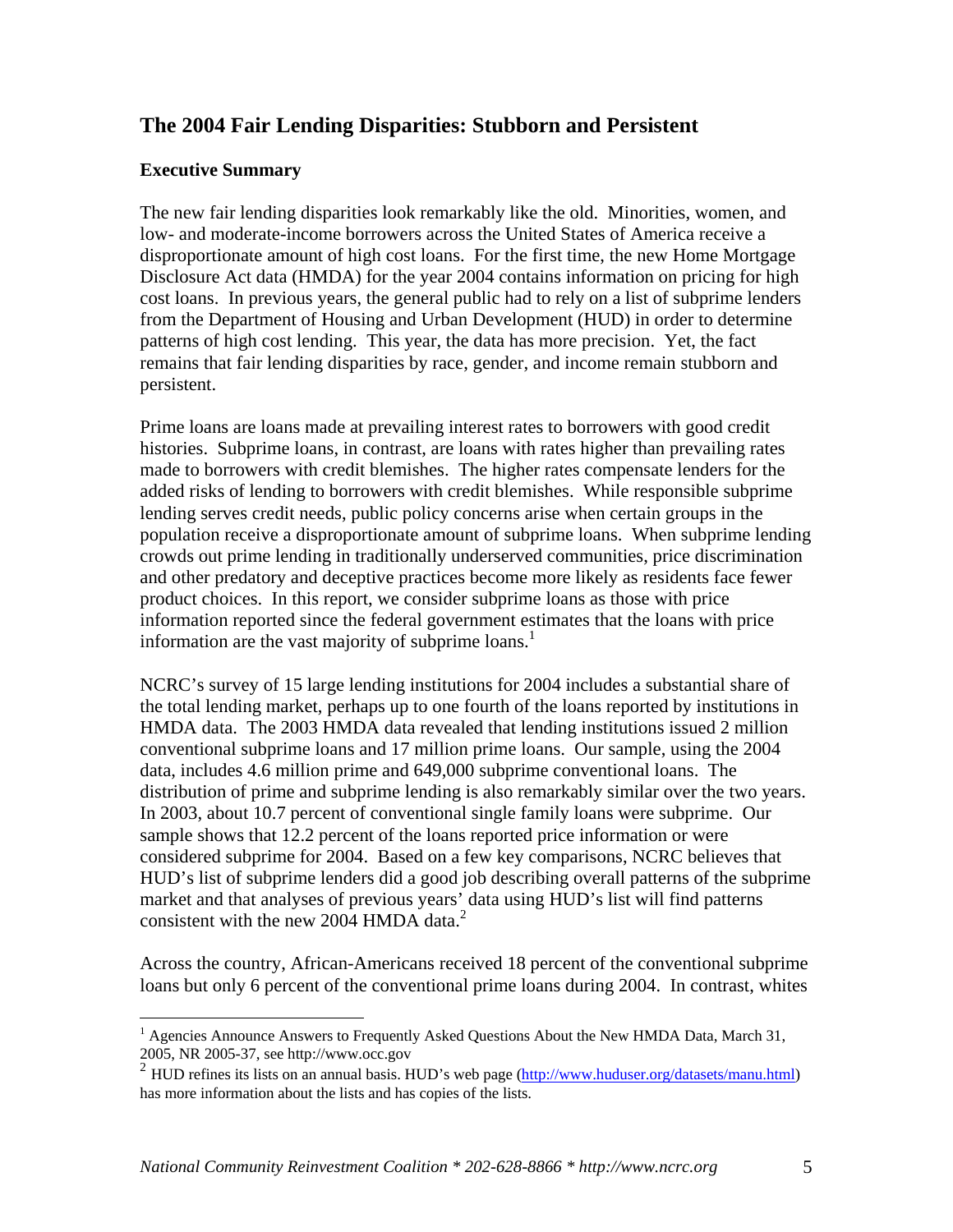### **The 2004 Fair Lending Disparities: Stubborn and Persistent**

#### **Executive Summary**

The new fair lending disparities look remarkably like the old. Minorities, women, and low- and moderate-income borrowers across the United States of America receive a disproportionate amount of high cost loans. For the first time, the new Home Mortgage Disclosure Act data (HMDA) for the year 2004 contains information on pricing for high cost loans. In previous years, the general public had to rely on a list of subprime lenders from the Department of Housing and Urban Development (HUD) in order to determine patterns of high cost lending. This year, the data has more precision. Yet, the fact remains that fair lending disparities by race, gender, and income remain stubborn and persistent.

Prime loans are loans made at prevailing interest rates to borrowers with good credit histories. Subprime loans, in contrast, are loans with rates higher than prevailing rates made to borrowers with credit blemishes. The higher rates compensate lenders for the added risks of lending to borrowers with credit blemishes. While responsible subprime lending serves credit needs, public policy concerns arise when certain groups in the population receive a disproportionate amount of subprime loans. When subprime lending crowds out prime lending in traditionally underserved communities, price discrimination and other predatory and deceptive practices become more likely as residents face fewer product choices. In this report, we consider subprime loans as those with price information reported since the federal government estimates that the loans with price information are the vast majority of subprime loans.<sup>1</sup>

NCRC's survey of 15 large lending institutions for 2004 includes a substantial share of the total lending market, perhaps up to one fourth of the loans reported by institutions in HMDA data. The 2003 HMDA data revealed that lending institutions issued 2 million conventional subprime loans and 17 million prime loans. Our sample, using the 2004 data, includes 4.6 million prime and 649,000 subprime conventional loans. The distribution of prime and subprime lending is also remarkably similar over the two years. In 2003, about 10.7 percent of conventional single family loans were subprime. Our sample shows that 12.2 percent of the loans reported price information or were considered subprime for 2004. Based on a few key comparisons, NCRC believes that HUD's list of subprime lenders did a good job describing overall patterns of the subprime market and that analyses of previous years' data using HUD's list will find patterns consistent with the new 2004 HMDA data.<sup>2</sup>

Across the country, African-Americans received 18 percent of the conventional subprime loans but only 6 percent of the conventional prime loans during 2004. In contrast, whites

 $\overline{a}$ <sup>1</sup> Agencies Announce Answers to Frequently Asked Questions About the New HMDA Data, March 31, 2005, NR 2005-37, see http://www.occ.gov

<sup>2</sup> HUD refines its lists on an annual basis. HUD's web page (http://www.huduser.org/datasets/manu.html) has more information about the lists and has copies of the lists.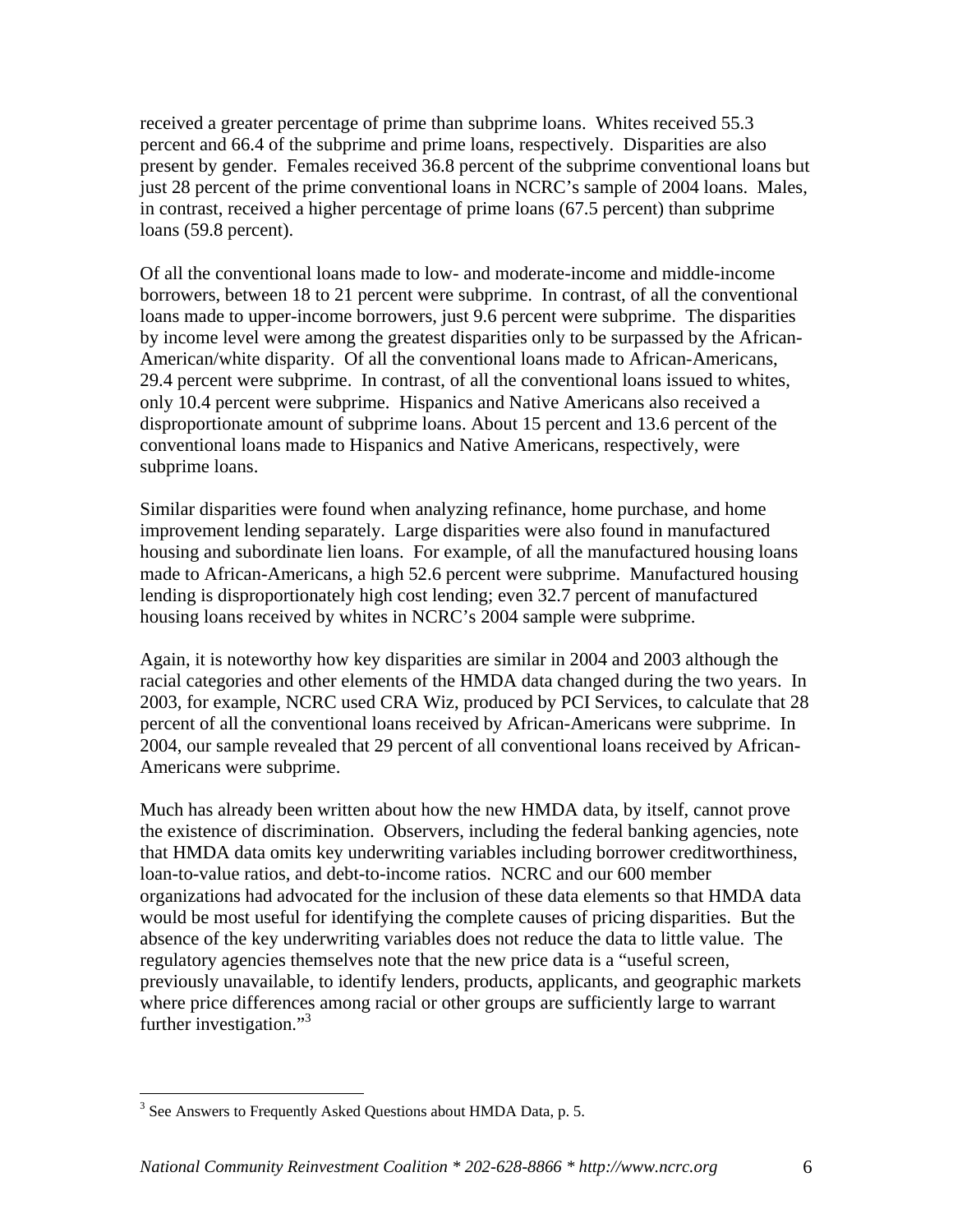received a greater percentage of prime than subprime loans. Whites received 55.3 percent and 66.4 of the subprime and prime loans, respectively. Disparities are also present by gender. Females received 36.8 percent of the subprime conventional loans but just 28 percent of the prime conventional loans in NCRC's sample of 2004 loans. Males, in contrast, received a higher percentage of prime loans (67.5 percent) than subprime loans (59.8 percent).

Of all the conventional loans made to low- and moderate-income and middle-income borrowers, between 18 to 21 percent were subprime. In contrast, of all the conventional loans made to upper-income borrowers, just 9.6 percent were subprime. The disparities by income level were among the greatest disparities only to be surpassed by the African-American/white disparity. Of all the conventional loans made to African-Americans, 29.4 percent were subprime. In contrast, of all the conventional loans issued to whites, only 10.4 percent were subprime. Hispanics and Native Americans also received a disproportionate amount of subprime loans. About 15 percent and 13.6 percent of the conventional loans made to Hispanics and Native Americans, respectively, were subprime loans.

Similar disparities were found when analyzing refinance, home purchase, and home improvement lending separately. Large disparities were also found in manufactured housing and subordinate lien loans. For example, of all the manufactured housing loans made to African-Americans, a high 52.6 percent were subprime. Manufactured housing lending is disproportionately high cost lending; even 32.7 percent of manufactured housing loans received by whites in NCRC's 2004 sample were subprime.

Again, it is noteworthy how key disparities are similar in 2004 and 2003 although the racial categories and other elements of the HMDA data changed during the two years. In 2003, for example, NCRC used CRA Wiz, produced by PCI Services, to calculate that 28 percent of all the conventional loans received by African-Americans were subprime. In 2004, our sample revealed that 29 percent of all conventional loans received by African-Americans were subprime.

Much has already been written about how the new HMDA data, by itself, cannot prove the existence of discrimination. Observers, including the federal banking agencies, note that HMDA data omits key underwriting variables including borrower creditworthiness, loan-to-value ratios, and debt-to-income ratios. NCRC and our 600 member organizations had advocated for the inclusion of these data elements so that HMDA data would be most useful for identifying the complete causes of pricing disparities. But the absence of the key underwriting variables does not reduce the data to little value. The regulatory agencies themselves note that the new price data is a "useful screen, previously unavailable, to identify lenders, products, applicants, and geographic markets where price differences among racial or other groups are sufficiently large to warrant further investigation."<sup>3</sup>

<u>.</u>

 $3$  See Answers to Frequently Asked Questions about HMDA Data, p. 5.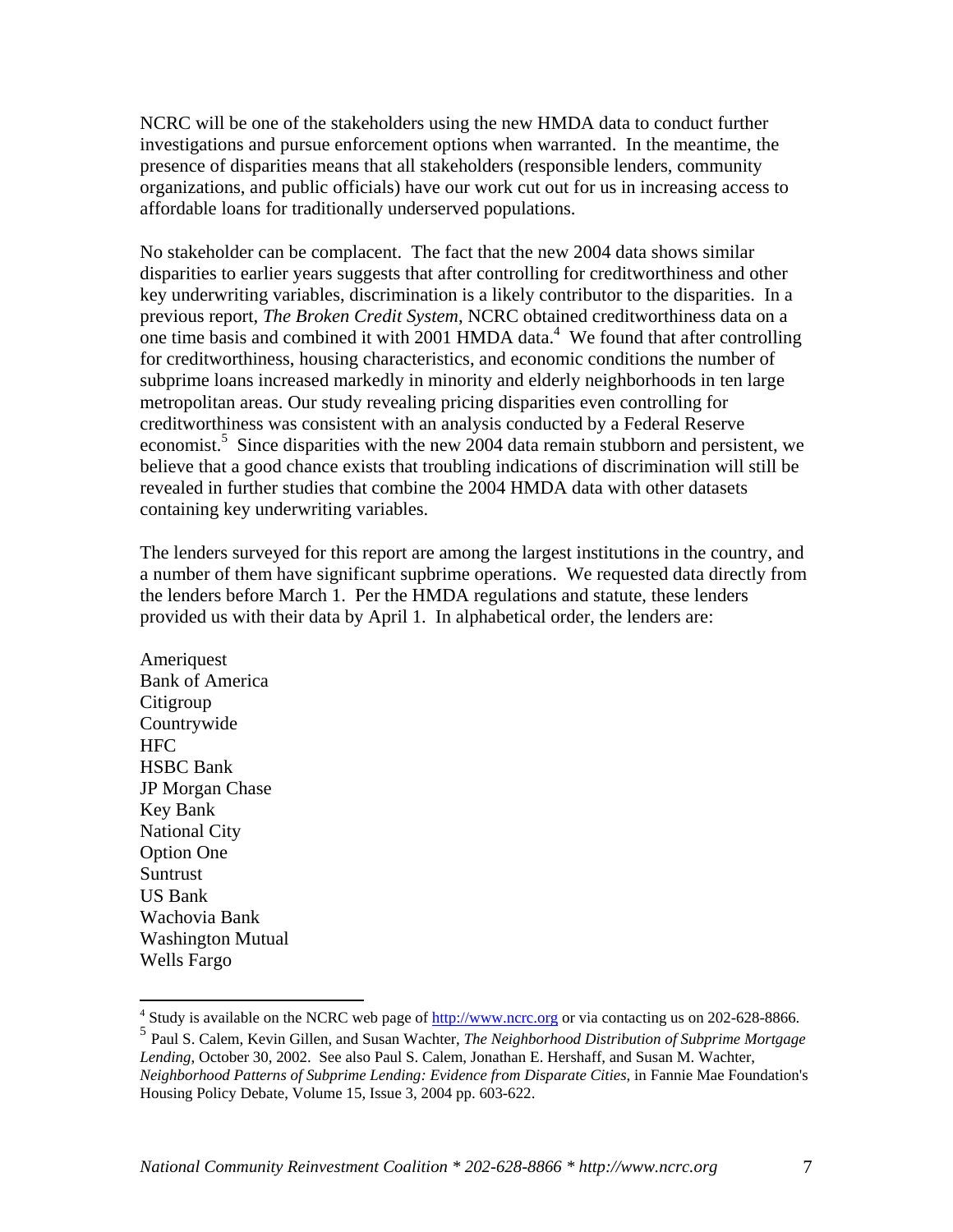NCRC will be one of the stakeholders using the new HMDA data to conduct further investigations and pursue enforcement options when warranted. In the meantime, the presence of disparities means that all stakeholders (responsible lenders, community organizations, and public officials) have our work cut out for us in increasing access to affordable loans for traditionally underserved populations.

No stakeholder can be complacent. The fact that the new 2004 data shows similar disparities to earlier years suggests that after controlling for creditworthiness and other key underwriting variables, discrimination is a likely contributor to the disparities. In a previous report, *The Broken Credit System*, NCRC obtained creditworthiness data on a one time basis and combined it with  $2001$  HMDA data.<sup>4</sup> We found that after controlling for creditworthiness, housing characteristics, and economic conditions the number of subprime loans increased markedly in minority and elderly neighborhoods in ten large metropolitan areas. Our study revealing pricing disparities even controlling for creditworthiness was consistent with an analysis conducted by a Federal Reserve economist.<sup>5</sup> Since disparities with the new 2004 data remain stubborn and persistent, we believe that a good chance exists that troubling indications of discrimination will still be revealed in further studies that combine the 2004 HMDA data with other datasets containing key underwriting variables.

The lenders surveyed for this report are among the largest institutions in the country, and a number of them have significant supbrime operations. We requested data directly from the lenders before March 1. Per the HMDA regulations and statute, these lenders provided us with their data by April 1. In alphabetical order, the lenders are:

Ameriquest Bank of America **Citigroup** Countrywide HFC HSBC Bank JP Morgan Chase Key Bank National City Option One Suntrust US Bank Wachovia Bank Washington Mutual Wells Fargo

<sup>4&</sup>lt;br><sup>4</sup> Study is available on the NCRC web page of <u>http://www.ncrc.org</u> or via contacting us on 202-628-8866.

<sup>5</sup> Paul S. Calem, Kevin Gillen, and Susan Wachter, *The Neighborhood Distribution of Subprime Mortgage Lending*, October 30, 2002. See also Paul S. Calem, Jonathan E. Hershaff, and Susan M. Wachter, *Neighborhood Patterns of Subprime Lending: Evidence from Disparate Cities*, in Fannie Mae Foundation's

Housing Policy Debate, Volume 15, Issue 3, 2004 pp. 603-622.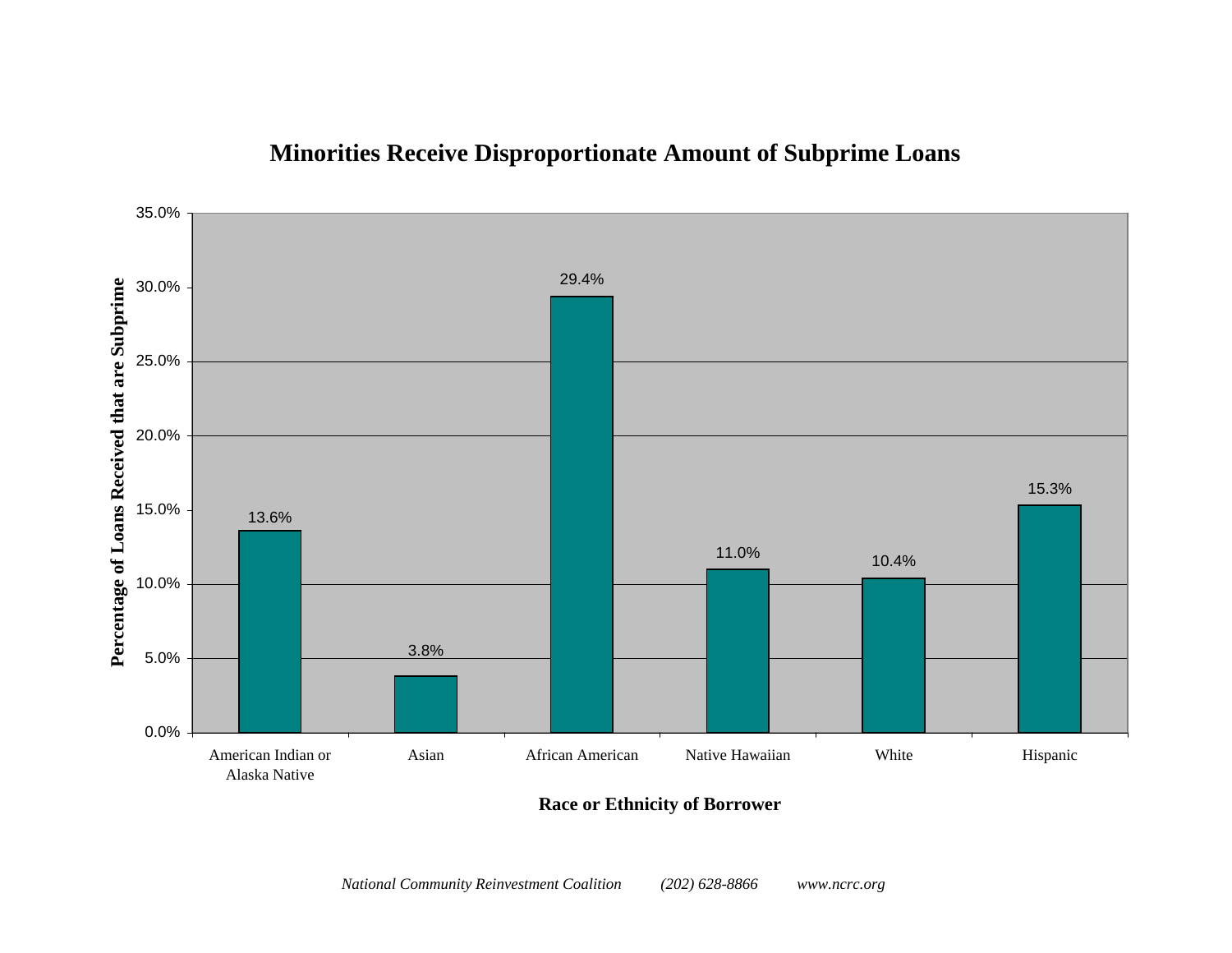

### **Minorities Receive Disproportionate Amount of Subprime Loans**

**Race or Ethnicity of Borrower**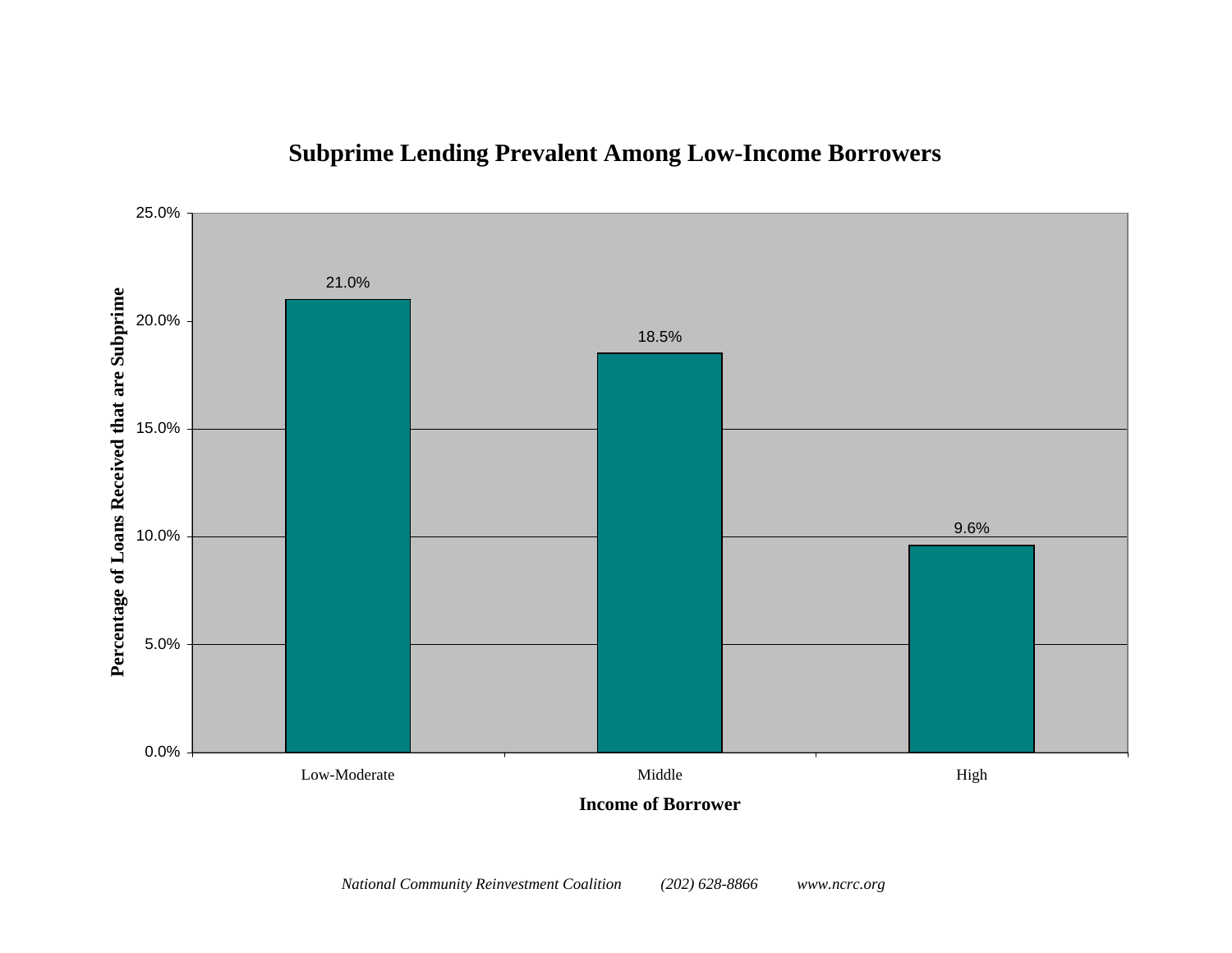

## **Subprime Lending Prevalent Among Low-Income Borrowers**

**Income of Borrower**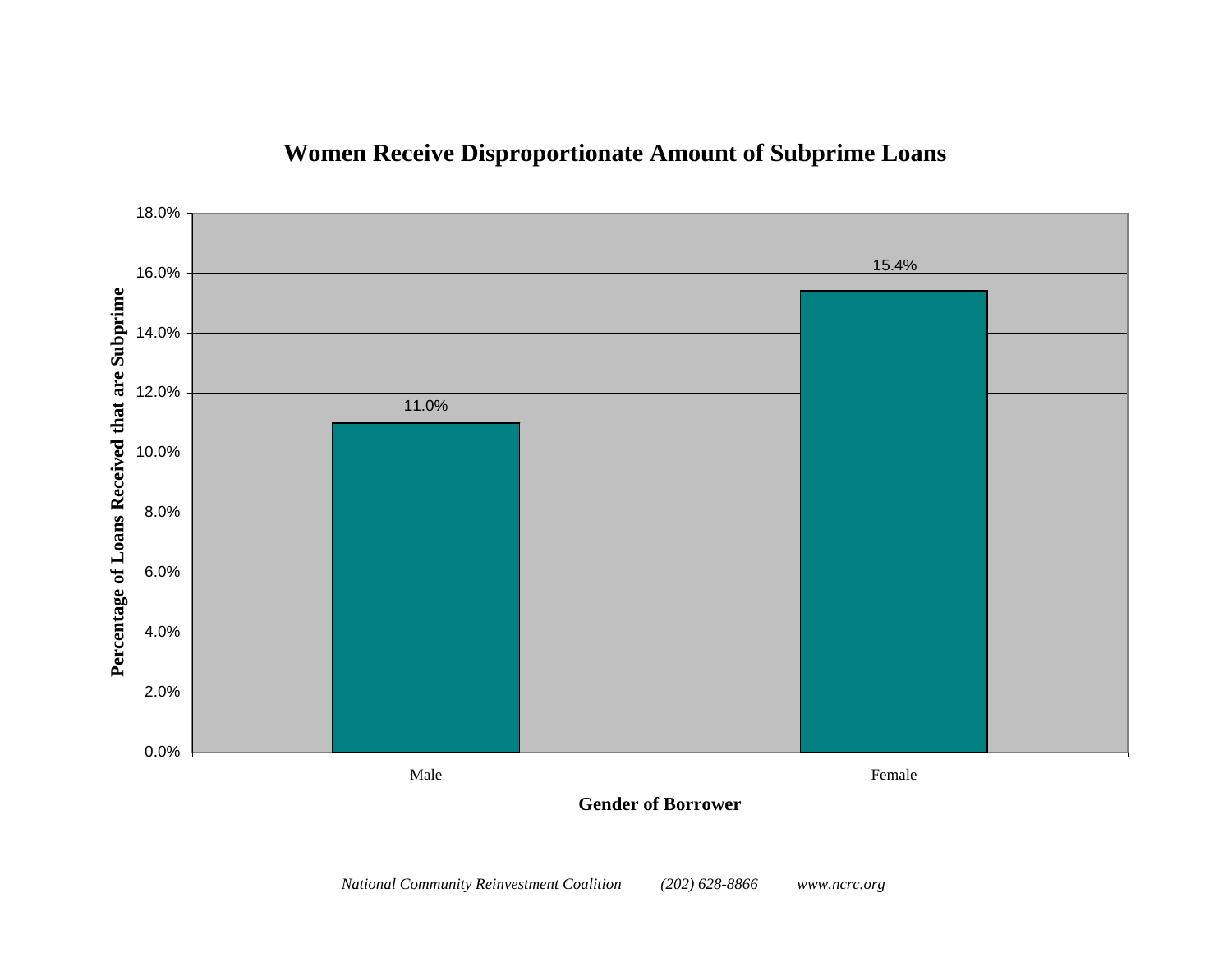### **Women Receive Disproportionate Amount of Subprime Loans**



**Gender of Borrower**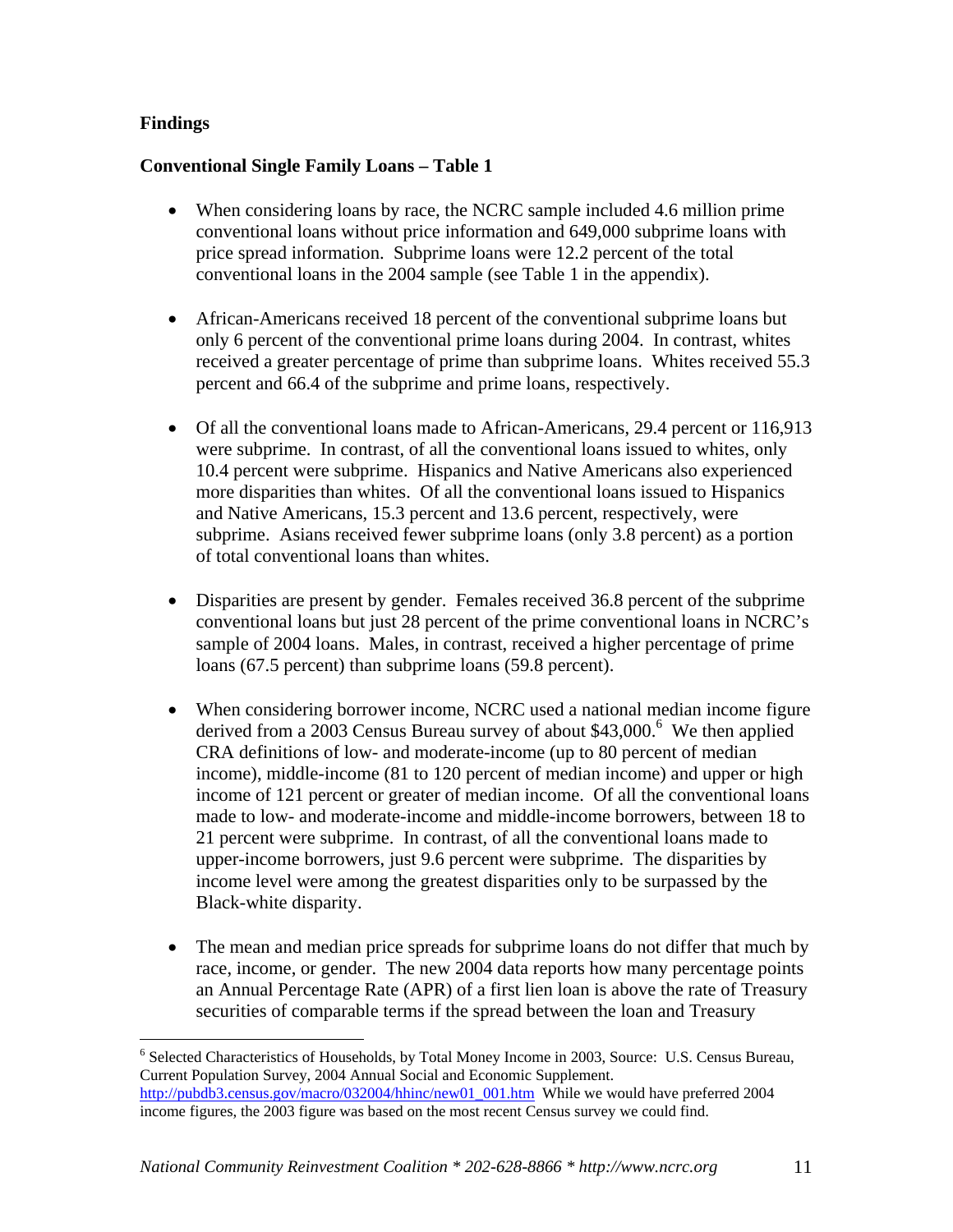#### **Findings**

 $\overline{a}$ 

#### **Conventional Single Family Loans – Table 1**

- When considering loans by race, the NCRC sample included 4.6 million prime conventional loans without price information and 649,000 subprime loans with price spread information. Subprime loans were 12.2 percent of the total conventional loans in the 2004 sample (see Table 1 in the appendix).
- African-Americans received 18 percent of the conventional subprime loans but only 6 percent of the conventional prime loans during 2004. In contrast, whites received a greater percentage of prime than subprime loans. Whites received 55.3 percent and 66.4 of the subprime and prime loans, respectively.
- Of all the conventional loans made to African-Americans, 29.4 percent or 116,913 were subprime. In contrast, of all the conventional loans issued to whites, only 10.4 percent were subprime. Hispanics and Native Americans also experienced more disparities than whites. Of all the conventional loans issued to Hispanics and Native Americans, 15.3 percent and 13.6 percent, respectively, were subprime. Asians received fewer subprime loans (only 3.8 percent) as a portion of total conventional loans than whites.
- Disparities are present by gender. Females received 36.8 percent of the subprime conventional loans but just 28 percent of the prime conventional loans in NCRC's sample of 2004 loans. Males, in contrast, received a higher percentage of prime loans (67.5 percent) than subprime loans (59.8 percent).
- When considering borrower income, NCRC used a national median income figure derived from a 2003 Census Bureau survey of about  $$43,000$ .<sup>6</sup> We then applied CRA definitions of low- and moderate-income (up to 80 percent of median income), middle-income (81 to 120 percent of median income) and upper or high income of 121 percent or greater of median income. Of all the conventional loans made to low- and moderate-income and middle-income borrowers, between 18 to 21 percent were subprime. In contrast, of all the conventional loans made to upper-income borrowers, just 9.6 percent were subprime. The disparities by income level were among the greatest disparities only to be surpassed by the Black-white disparity.
- The mean and median price spreads for subprime loans do not differ that much by race, income, or gender. The new 2004 data reports how many percentage points an Annual Percentage Rate (APR) of a first lien loan is above the rate of Treasury securities of comparable terms if the spread between the loan and Treasury

<sup>&</sup>lt;sup>6</sup> Selected Characteristics of Households, by Total Money Income in 2003, Source: U.S. Census Bureau, Current Population Survey, 2004 Annual Social and Economic Supplement. http://pubdb3.census.gov/macro/032004/hhinc/new01\_001.htm While we would have preferred 2004 income figures, the 2003 figure was based on the most recent Census survey we could find.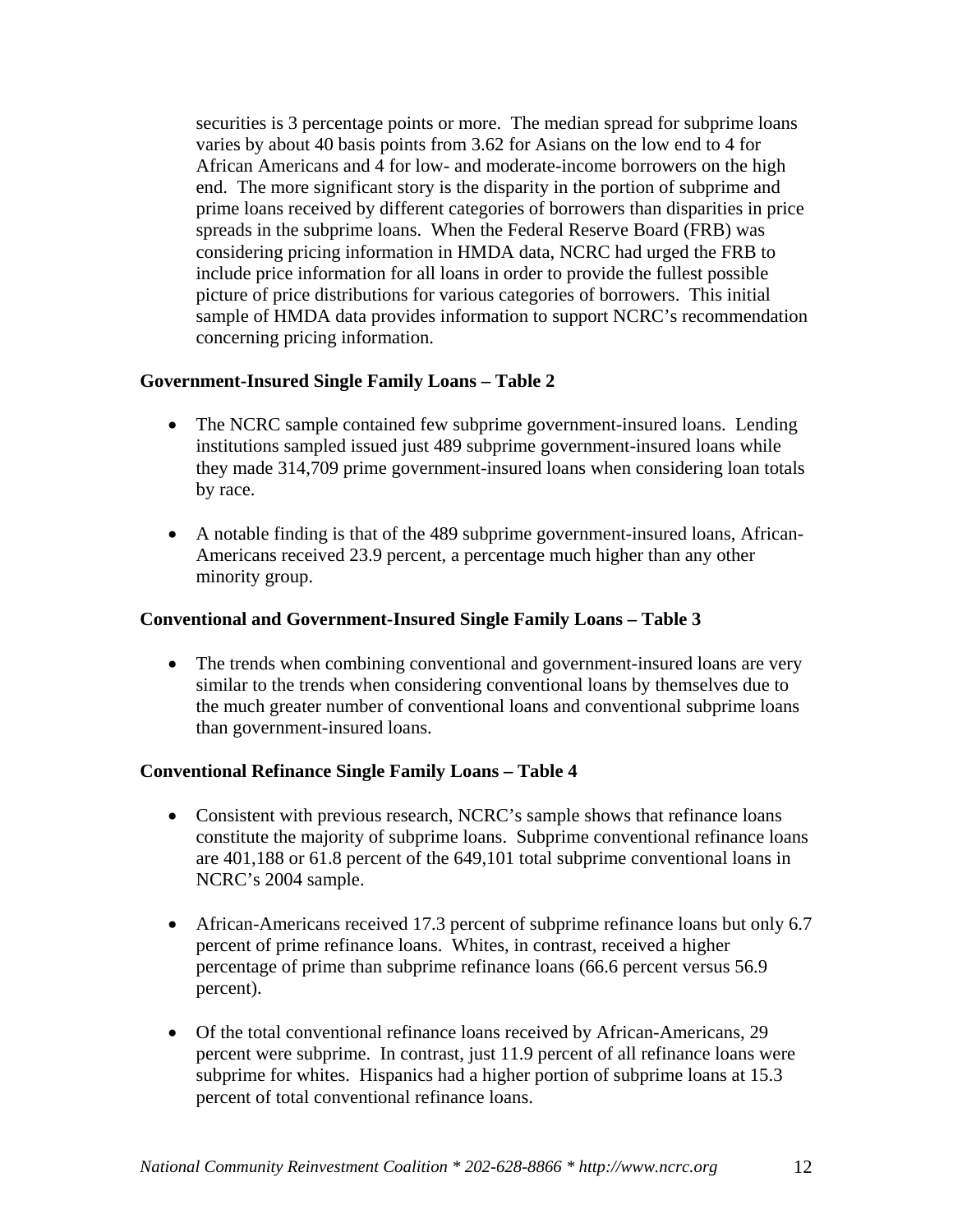securities is 3 percentage points or more. The median spread for subprime loans varies by about 40 basis points from 3.62 for Asians on the low end to 4 for African Americans and 4 for low- and moderate-income borrowers on the high end. The more significant story is the disparity in the portion of subprime and prime loans received by different categories of borrowers than disparities in price spreads in the subprime loans. When the Federal Reserve Board (FRB) was considering pricing information in HMDA data, NCRC had urged the FRB to include price information for all loans in order to provide the fullest possible picture of price distributions for various categories of borrowers. This initial sample of HMDA data provides information to support NCRC's recommendation concerning pricing information.

#### **Government-Insured Single Family Loans – Table 2**

- The NCRC sample contained few subprime government-insured loans. Lending institutions sampled issued just 489 subprime government-insured loans while they made 314,709 prime government-insured loans when considering loan totals by race.
- A notable finding is that of the 489 subprime government-insured loans, African-Americans received 23.9 percent, a percentage much higher than any other minority group.

#### **Conventional and Government-Insured Single Family Loans – Table 3**

• The trends when combining conventional and government-insured loans are very similar to the trends when considering conventional loans by themselves due to the much greater number of conventional loans and conventional subprime loans than government-insured loans.

#### **Conventional Refinance Single Family Loans – Table 4**

- Consistent with previous research, NCRC's sample shows that refinance loans constitute the majority of subprime loans. Subprime conventional refinance loans are 401,188 or 61.8 percent of the 649,101 total subprime conventional loans in NCRC's 2004 sample.
- African-Americans received 17.3 percent of subprime refinance loans but only 6.7 percent of prime refinance loans. Whites, in contrast, received a higher percentage of prime than subprime refinance loans (66.6 percent versus 56.9 percent).
- Of the total conventional refinance loans received by African-Americans, 29 percent were subprime. In contrast, just 11.9 percent of all refinance loans were subprime for whites. Hispanics had a higher portion of subprime loans at 15.3 percent of total conventional refinance loans.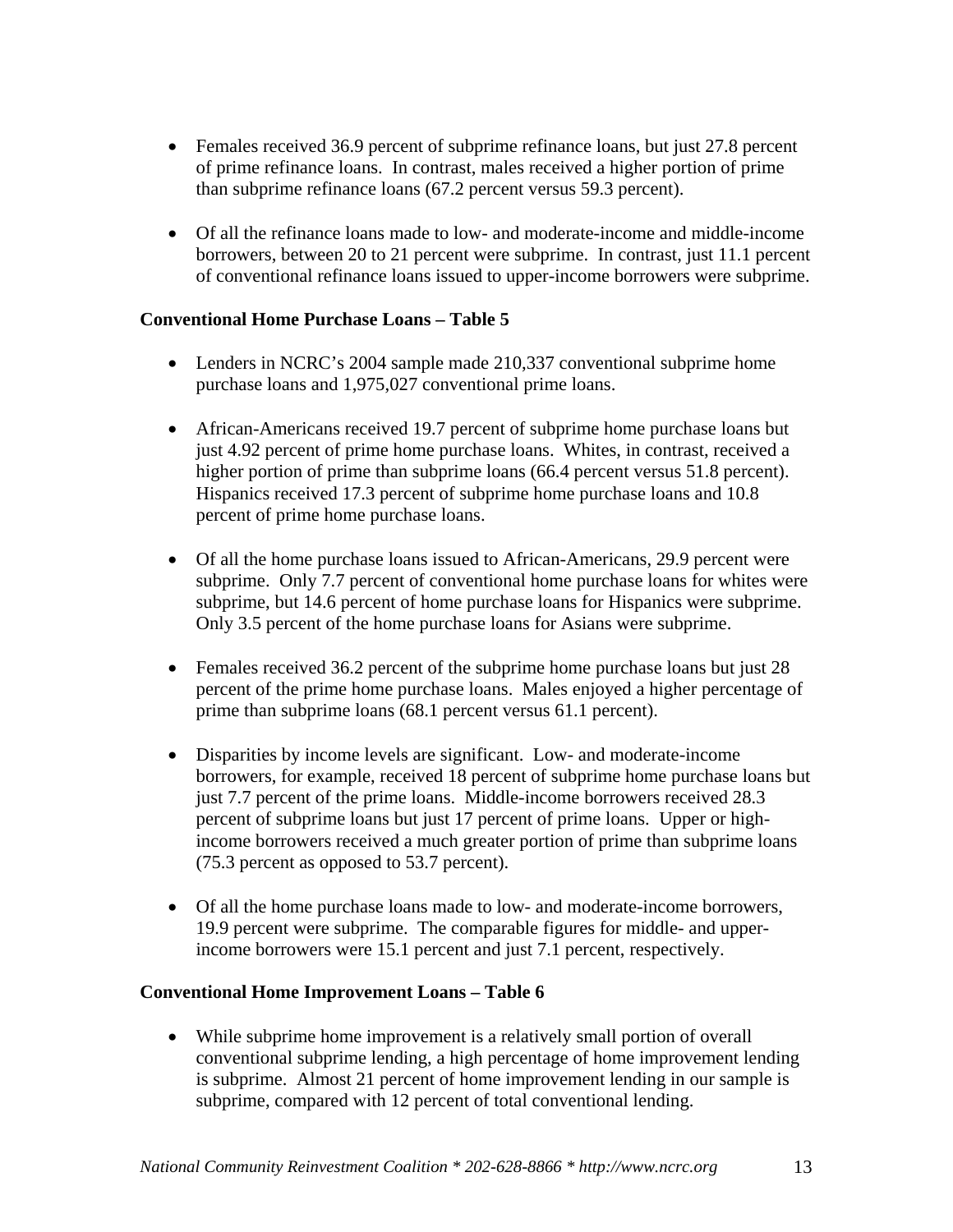- Females received 36.9 percent of subprime refinance loans, but just 27.8 percent of prime refinance loans. In contrast, males received a higher portion of prime than subprime refinance loans (67.2 percent versus 59.3 percent).
- Of all the refinance loans made to low- and moderate-income and middle-income borrowers, between 20 to 21 percent were subprime. In contrast, just 11.1 percent of conventional refinance loans issued to upper-income borrowers were subprime.

#### **Conventional Home Purchase Loans – Table 5**

- Lenders in NCRC's 2004 sample made 210,337 conventional subprime home purchase loans and 1,975,027 conventional prime loans.
- African-Americans received 19.7 percent of subprime home purchase loans but just 4.92 percent of prime home purchase loans. Whites, in contrast, received a higher portion of prime than subprime loans (66.4 percent versus 51.8 percent). Hispanics received 17.3 percent of subprime home purchase loans and 10.8 percent of prime home purchase loans.
- Of all the home purchase loans issued to African-Americans, 29.9 percent were subprime. Only 7.7 percent of conventional home purchase loans for whites were subprime, but 14.6 percent of home purchase loans for Hispanics were subprime. Only 3.5 percent of the home purchase loans for Asians were subprime.
- Females received 36.2 percent of the subprime home purchase loans but just 28 percent of the prime home purchase loans. Males enjoyed a higher percentage of prime than subprime loans (68.1 percent versus 61.1 percent).
- Disparities by income levels are significant. Low- and moderate-income borrowers, for example, received 18 percent of subprime home purchase loans but just 7.7 percent of the prime loans. Middle-income borrowers received 28.3 percent of subprime loans but just 17 percent of prime loans. Upper or highincome borrowers received a much greater portion of prime than subprime loans (75.3 percent as opposed to 53.7 percent).
- Of all the home purchase loans made to low- and moderate-income borrowers, 19.9 percent were subprime. The comparable figures for middle- and upperincome borrowers were 15.1 percent and just 7.1 percent, respectively.

#### **Conventional Home Improvement Loans – Table 6**

• While subprime home improvement is a relatively small portion of overall conventional subprime lending, a high percentage of home improvement lending is subprime. Almost 21 percent of home improvement lending in our sample is subprime, compared with 12 percent of total conventional lending.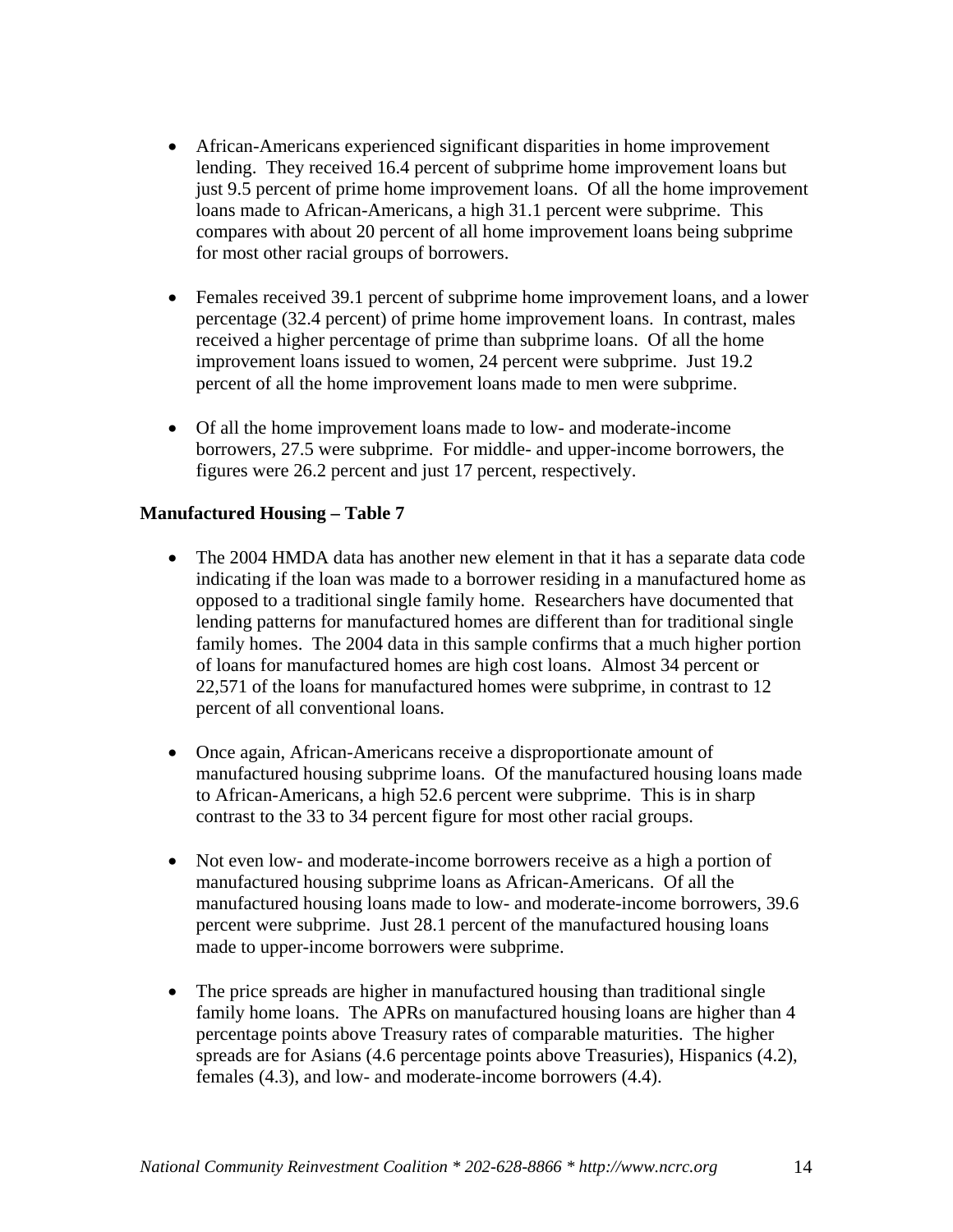- African-Americans experienced significant disparities in home improvement lending. They received 16.4 percent of subprime home improvement loans but just 9.5 percent of prime home improvement loans. Of all the home improvement loans made to African-Americans, a high 31.1 percent were subprime. This compares with about 20 percent of all home improvement loans being subprime for most other racial groups of borrowers.
- Females received 39.1 percent of subprime home improvement loans, and a lower percentage (32.4 percent) of prime home improvement loans. In contrast, males received a higher percentage of prime than subprime loans. Of all the home improvement loans issued to women, 24 percent were subprime. Just 19.2 percent of all the home improvement loans made to men were subprime.
- Of all the home improvement loans made to low- and moderate-income borrowers, 27.5 were subprime. For middle- and upper-income borrowers, the figures were 26.2 percent and just 17 percent, respectively.

#### **Manufactured Housing – Table 7**

- The 2004 HMDA data has another new element in that it has a separate data code indicating if the loan was made to a borrower residing in a manufactured home as opposed to a traditional single family home. Researchers have documented that lending patterns for manufactured homes are different than for traditional single family homes. The 2004 data in this sample confirms that a much higher portion of loans for manufactured homes are high cost loans. Almost 34 percent or 22,571 of the loans for manufactured homes were subprime, in contrast to 12 percent of all conventional loans.
- Once again, African-Americans receive a disproportionate amount of manufactured housing subprime loans. Of the manufactured housing loans made to African-Americans, a high 52.6 percent were subprime. This is in sharp contrast to the 33 to 34 percent figure for most other racial groups.
- Not even low- and moderate-income borrowers receive as a high a portion of manufactured housing subprime loans as African-Americans. Of all the manufactured housing loans made to low- and moderate-income borrowers, 39.6 percent were subprime. Just 28.1 percent of the manufactured housing loans made to upper-income borrowers were subprime.
- The price spreads are higher in manufactured housing than traditional single family home loans. The APRs on manufactured housing loans are higher than 4 percentage points above Treasury rates of comparable maturities. The higher spreads are for Asians (4.6 percentage points above Treasuries), Hispanics (4.2), females (4.3), and low- and moderate-income borrowers (4.4).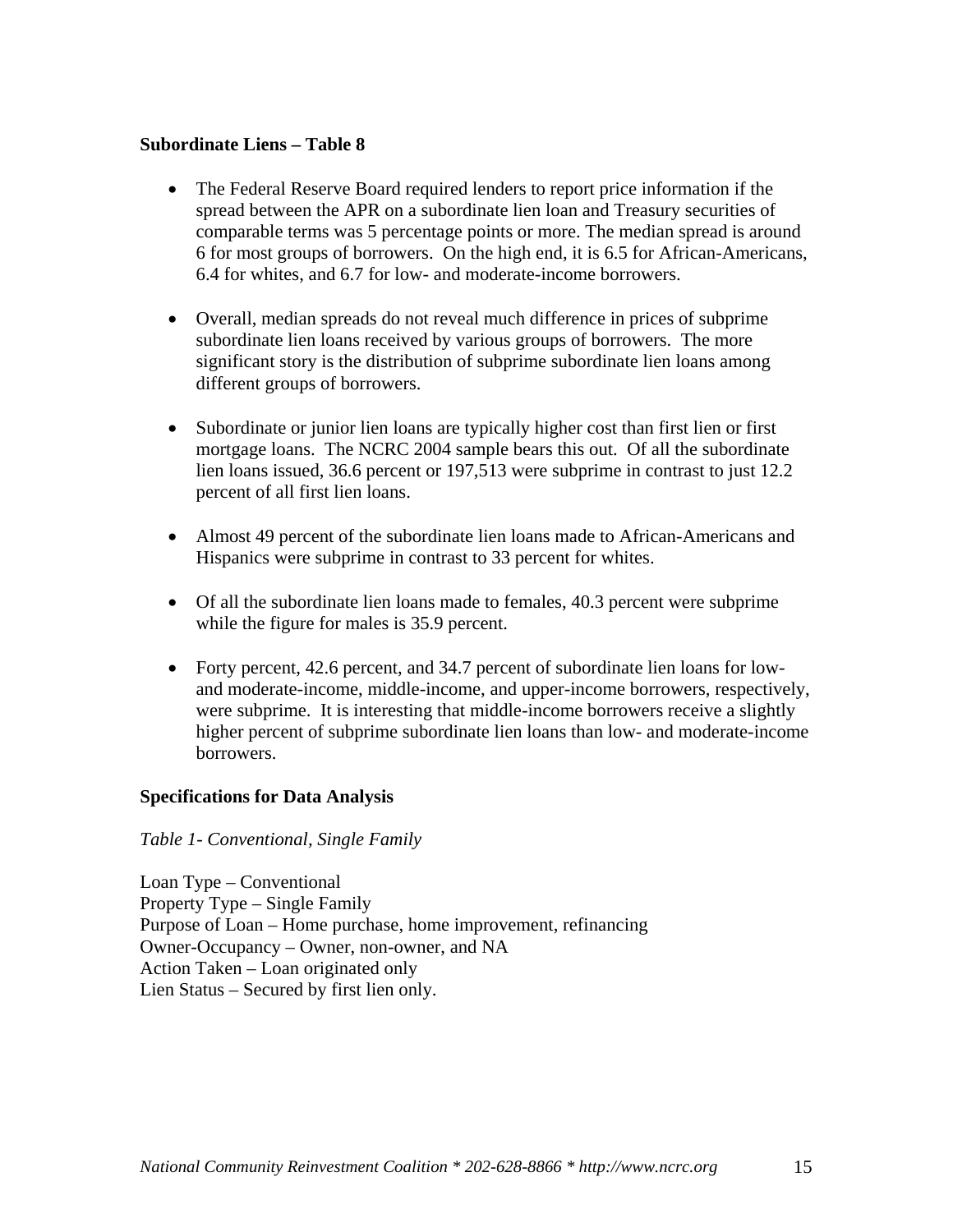#### **Subordinate Liens – Table 8**

- The Federal Reserve Board required lenders to report price information if the spread between the APR on a subordinate lien loan and Treasury securities of comparable terms was 5 percentage points or more. The median spread is around 6 for most groups of borrowers. On the high end, it is 6.5 for African-Americans, 6.4 for whites, and 6.7 for low- and moderate-income borrowers.
- Overall, median spreads do not reveal much difference in prices of subprime subordinate lien loans received by various groups of borrowers. The more significant story is the distribution of subprime subordinate lien loans among different groups of borrowers.
- Subordinate or junior lien loans are typically higher cost than first lien or first mortgage loans. The NCRC 2004 sample bears this out. Of all the subordinate lien loans issued, 36.6 percent or 197,513 were subprime in contrast to just 12.2 percent of all first lien loans.
- Almost 49 percent of the subordinate lien loans made to African-Americans and Hispanics were subprime in contrast to 33 percent for whites.
- Of all the subordinate lien loans made to females, 40.3 percent were subprime while the figure for males is 35.9 percent.
- Forty percent, 42.6 percent, and 34.7 percent of subordinate lien loans for lowand moderate-income, middle-income, and upper-income borrowers, respectively, were subprime. It is interesting that middle-income borrowers receive a slightly higher percent of subprime subordinate lien loans than low- and moderate-income borrowers.

#### **Specifications for Data Analysis**

#### *Table 1- Conventional, Single Family*

Loan Type – Conventional Property Type – Single Family Purpose of Loan – Home purchase, home improvement, refinancing Owner-Occupancy – Owner, non-owner, and NA Action Taken – Loan originated only Lien Status – Secured by first lien only.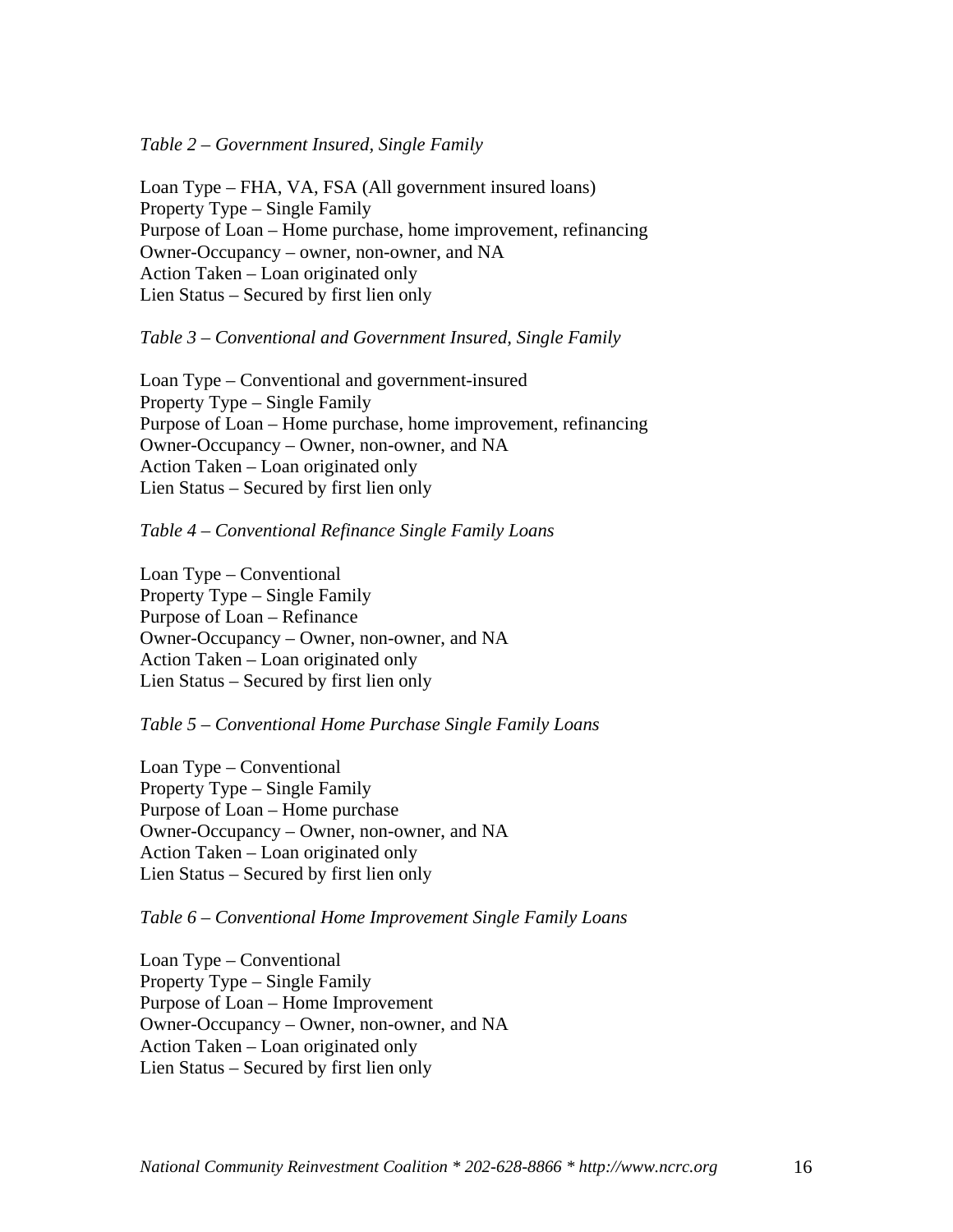#### *Table 2 – Government Insured, Single Family*

Loan Type – FHA, VA, FSA (All government insured loans) Property Type – Single Family Purpose of Loan – Home purchase, home improvement, refinancing Owner-Occupancy – owner, non-owner, and NA Action Taken – Loan originated only Lien Status – Secured by first lien only

#### *Table 3 – Conventional and Government Insured, Single Family*

Loan Type – Conventional and government-insured Property Type – Single Family Purpose of Loan – Home purchase, home improvement, refinancing Owner-Occupancy – Owner, non-owner, and NA Action Taken – Loan originated only Lien Status – Secured by first lien only

#### *Table 4 – Conventional Refinance Single Family Loans*

Loan Type – Conventional Property Type – Single Family Purpose of Loan – Refinance Owner-Occupancy – Owner, non-owner, and NA Action Taken – Loan originated only Lien Status – Secured by first lien only

#### *Table 5 – Conventional Home Purchase Single Family Loans*

Loan Type – Conventional Property Type – Single Family Purpose of Loan – Home purchase Owner-Occupancy – Owner, non-owner, and NA Action Taken – Loan originated only Lien Status – Secured by first lien only

#### *Table 6 – Conventional Home Improvement Single Family Loans*

Loan Type – Conventional Property Type – Single Family Purpose of Loan – Home Improvement Owner-Occupancy – Owner, non-owner, and NA Action Taken – Loan originated only Lien Status – Secured by first lien only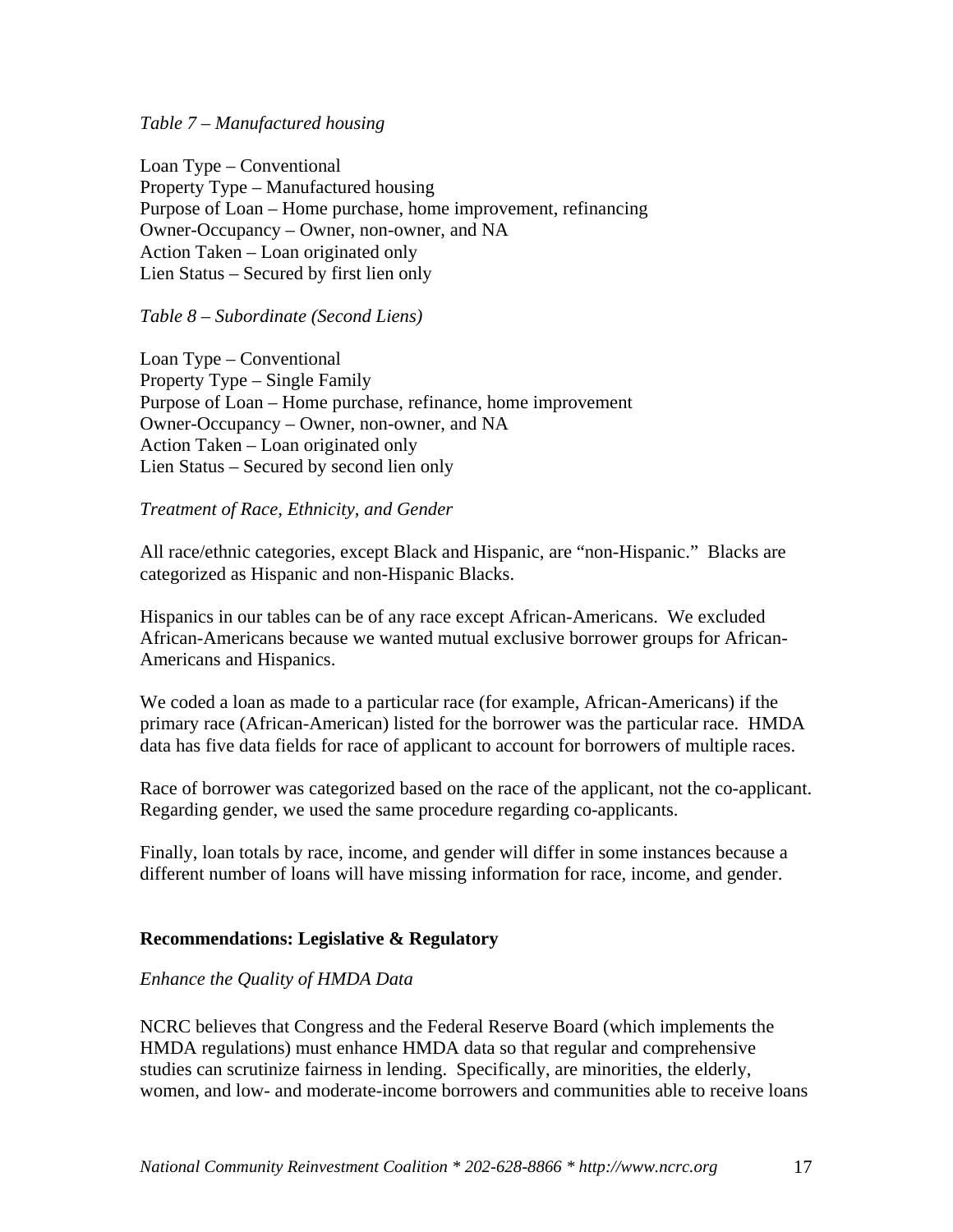#### *Table 7 – Manufactured housing*

Loan Type – Conventional Property Type – Manufactured housing Purpose of Loan – Home purchase, home improvement, refinancing Owner-Occupancy – Owner, non-owner, and NA Action Taken – Loan originated only Lien Status – Secured by first lien only

#### *Table 8 – Subordinate (Second Liens)*

Loan Type – Conventional Property Type – Single Family Purpose of Loan – Home purchase, refinance, home improvement Owner-Occupancy – Owner, non-owner, and NA Action Taken – Loan originated only Lien Status – Secured by second lien only

#### *Treatment of Race, Ethnicity, and Gender*

All race/ethnic categories, except Black and Hispanic, are "non-Hispanic." Blacks are categorized as Hispanic and non-Hispanic Blacks.

Hispanics in our tables can be of any race except African-Americans. We excluded African-Americans because we wanted mutual exclusive borrower groups for African-Americans and Hispanics.

We coded a loan as made to a particular race (for example, African-Americans) if the primary race (African-American) listed for the borrower was the particular race. HMDA data has five data fields for race of applicant to account for borrowers of multiple races.

Race of borrower was categorized based on the race of the applicant, not the co-applicant. Regarding gender, we used the same procedure regarding co-applicants.

Finally, loan totals by race, income, and gender will differ in some instances because a different number of loans will have missing information for race, income, and gender.

#### **Recommendations: Legislative & Regulatory**

#### *Enhance the Quality of HMDA Data*

NCRC believes that Congress and the Federal Reserve Board (which implements the HMDA regulations) must enhance HMDA data so that regular and comprehensive studies can scrutinize fairness in lending. Specifically, are minorities, the elderly, women, and low- and moderate-income borrowers and communities able to receive loans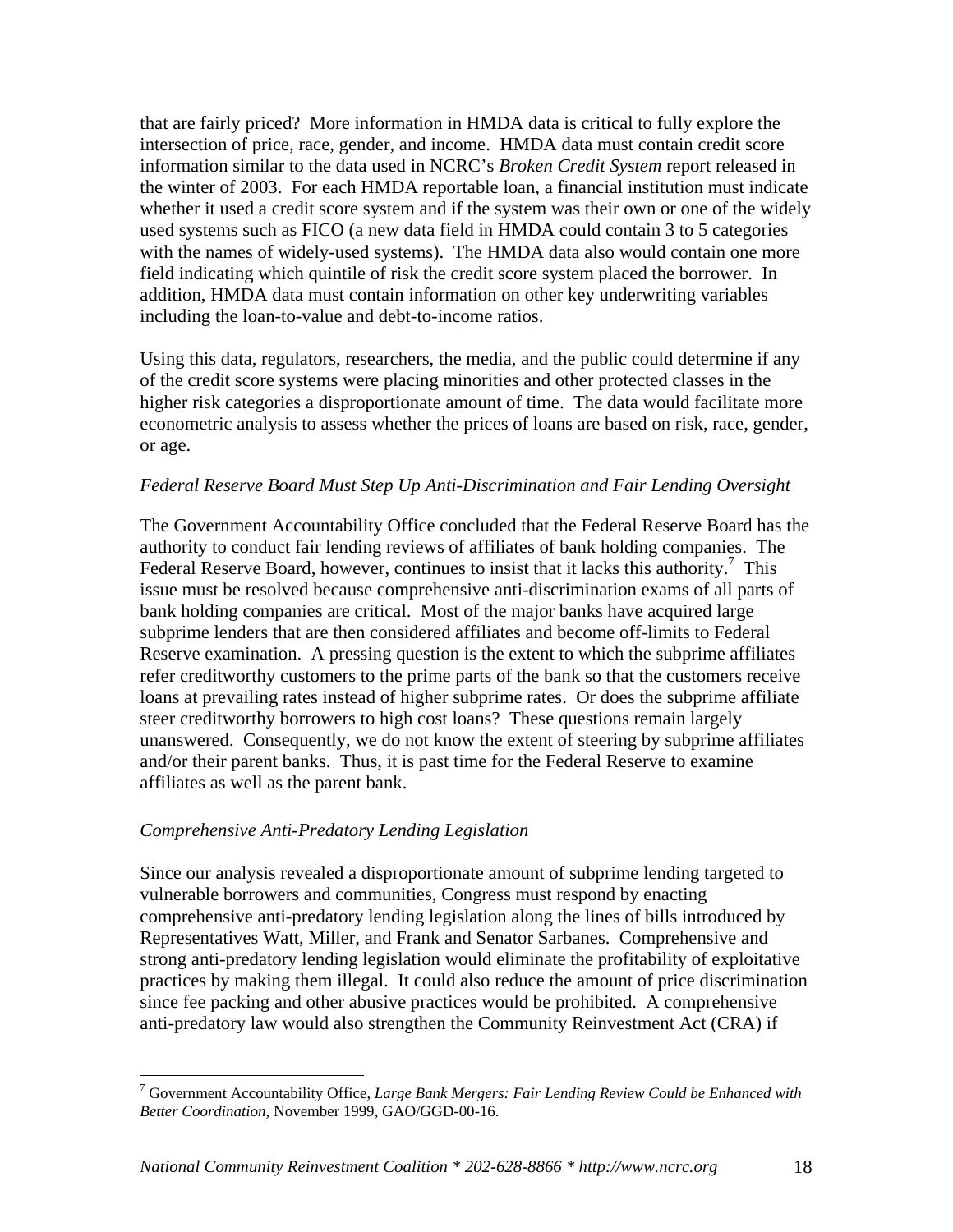that are fairly priced? More information in HMDA data is critical to fully explore the intersection of price, race, gender, and income. HMDA data must contain credit score information similar to the data used in NCRC's *Broken Credit System* report released in the winter of 2003. For each HMDA reportable loan, a financial institution must indicate whether it used a credit score system and if the system was their own or one of the widely used systems such as FICO (a new data field in HMDA could contain 3 to 5 categories with the names of widely-used systems). The HMDA data also would contain one more field indicating which quintile of risk the credit score system placed the borrower. In addition, HMDA data must contain information on other key underwriting variables including the loan-to-value and debt-to-income ratios.

Using this data, regulators, researchers, the media, and the public could determine if any of the credit score systems were placing minorities and other protected classes in the higher risk categories a disproportionate amount of time. The data would facilitate more econometric analysis to assess whether the prices of loans are based on risk, race, gender, or age.

#### *Federal Reserve Board Must Step Up Anti-Discrimination and Fair Lending Oversight*

The Government Accountability Office concluded that the Federal Reserve Board has the authority to conduct fair lending reviews of affiliates of bank holding companies. The Federal Reserve Board, however, continues to insist that it lacks this authority.<sup>7</sup> This issue must be resolved because comprehensive anti-discrimination exams of all parts of bank holding companies are critical. Most of the major banks have acquired large subprime lenders that are then considered affiliates and become off-limits to Federal Reserve examination. A pressing question is the extent to which the subprime affiliates refer creditworthy customers to the prime parts of the bank so that the customers receive loans at prevailing rates instead of higher subprime rates. Or does the subprime affiliate steer creditworthy borrowers to high cost loans? These questions remain largely unanswered. Consequently, we do not know the extent of steering by subprime affiliates and/or their parent banks. Thus, it is past time for the Federal Reserve to examine affiliates as well as the parent bank.

#### *Comprehensive Anti-Predatory Lending Legislation*

Since our analysis revealed a disproportionate amount of subprime lending targeted to vulnerable borrowers and communities, Congress must respond by enacting comprehensive anti-predatory lending legislation along the lines of bills introduced by Representatives Watt, Miller, and Frank and Senator Sarbanes. Comprehensive and strong anti-predatory lending legislation would eliminate the profitability of exploitative practices by making them illegal. It could also reduce the amount of price discrimination since fee packing and other abusive practices would be prohibited. A comprehensive anti-predatory law would also strengthen the Community Reinvestment Act (CRA) if

 7 Government Accountability Office, *Large Bank Mergers: Fair Lending Review Could be Enhanced with Better Coordination*, November 1999, GAO/GGD-00-16.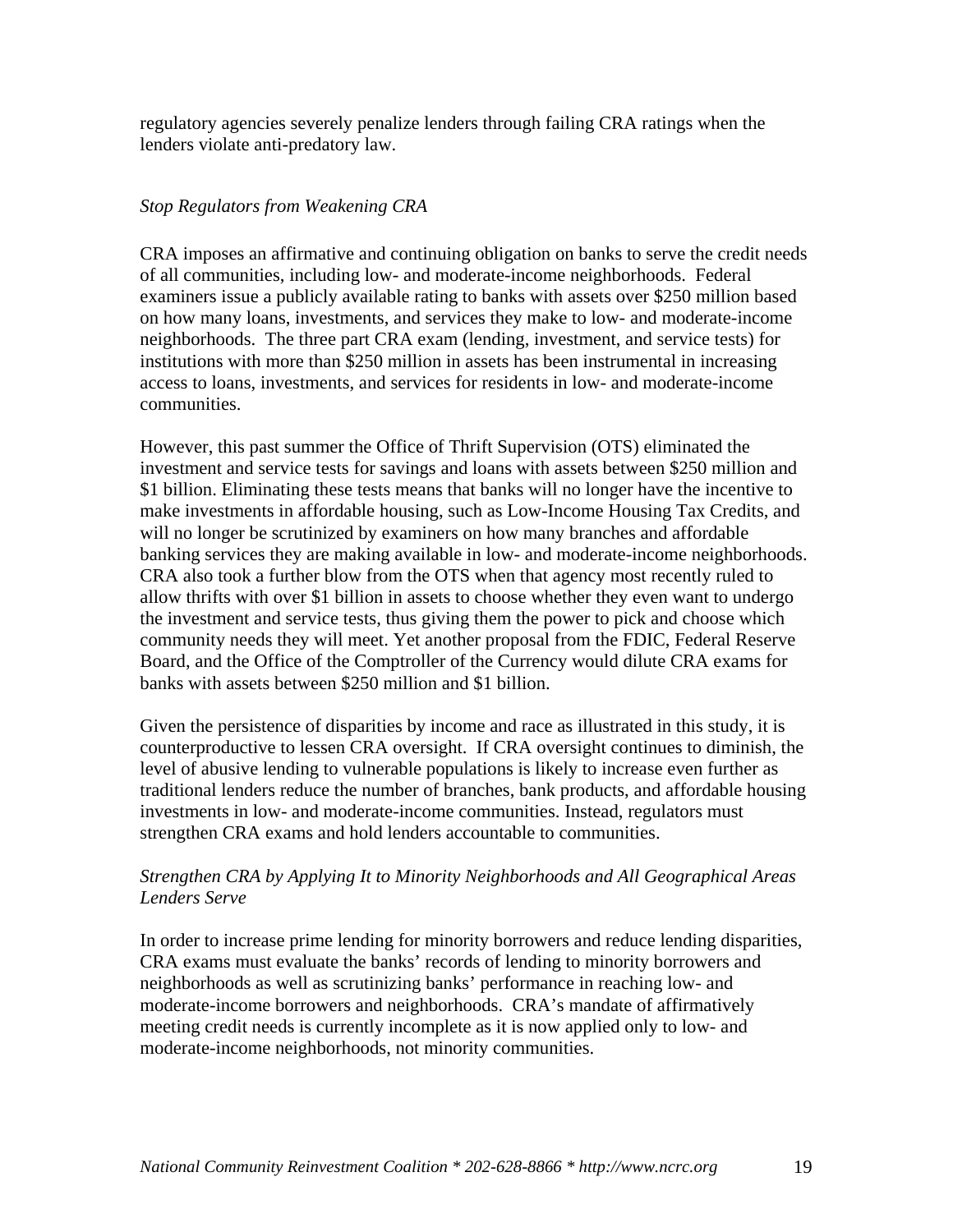regulatory agencies severely penalize lenders through failing CRA ratings when the lenders violate anti-predatory law.

#### *Stop Regulators from Weakening CRA*

CRA imposes an affirmative and continuing obligation on banks to serve the credit needs of all communities, including low- and moderate-income neighborhoods. Federal examiners issue a publicly available rating to banks with assets over \$250 million based on how many loans, investments, and services they make to low- and moderate-income neighborhoods. The three part CRA exam (lending, investment, and service tests) for institutions with more than \$250 million in assets has been instrumental in increasing access to loans, investments, and services for residents in low- and moderate-income communities.

However, this past summer the Office of Thrift Supervision (OTS) eliminated the investment and service tests for savings and loans with assets between \$250 million and \$1 billion. Eliminating these tests means that banks will no longer have the incentive to make investments in affordable housing, such as Low-Income Housing Tax Credits, and will no longer be scrutinized by examiners on how many branches and affordable banking services they are making available in low- and moderate-income neighborhoods. CRA also took a further blow from the OTS when that agency most recently ruled to allow thrifts with over \$1 billion in assets to choose whether they even want to undergo the investment and service tests, thus giving them the power to pick and choose which community needs they will meet. Yet another proposal from the FDIC, Federal Reserve Board, and the Office of the Comptroller of the Currency would dilute CRA exams for banks with assets between \$250 million and \$1 billion.

Given the persistence of disparities by income and race as illustrated in this study, it is counterproductive to lessen CRA oversight. If CRA oversight continues to diminish, the level of abusive lending to vulnerable populations is likely to increase even further as traditional lenders reduce the number of branches, bank products, and affordable housing investments in low- and moderate-income communities. Instead, regulators must strengthen CRA exams and hold lenders accountable to communities.

#### *Strengthen CRA by Applying It to Minority Neighborhoods and All Geographical Areas Lenders Serve*

In order to increase prime lending for minority borrowers and reduce lending disparities, CRA exams must evaluate the banks' records of lending to minority borrowers and neighborhoods as well as scrutinizing banks' performance in reaching low- and moderate-income borrowers and neighborhoods. CRA's mandate of affirmatively meeting credit needs is currently incomplete as it is now applied only to low- and moderate-income neighborhoods, not minority communities.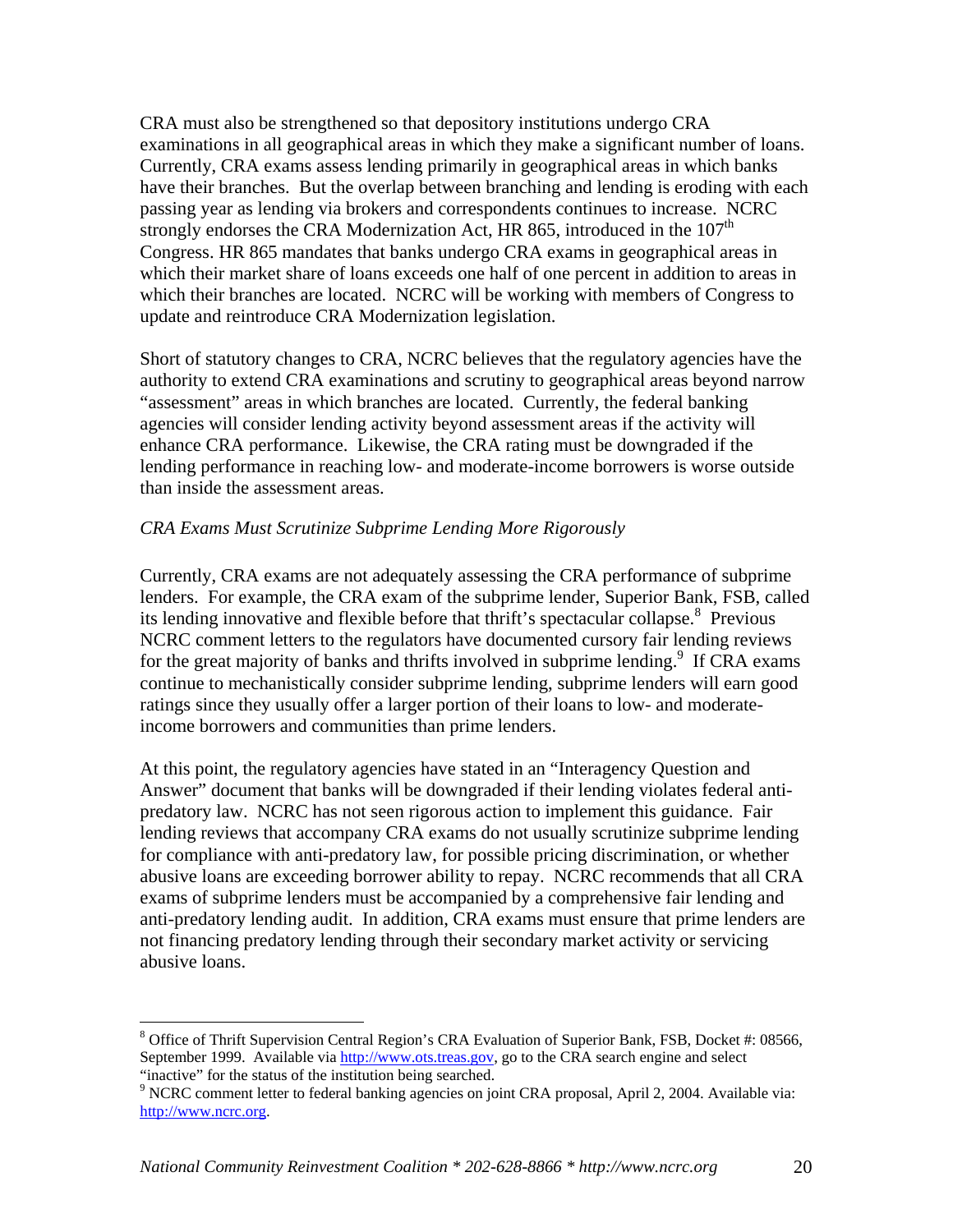CRA must also be strengthened so that depository institutions undergo CRA examinations in all geographical areas in which they make a significant number of loans. Currently, CRA exams assess lending primarily in geographical areas in which banks have their branches. But the overlap between branching and lending is eroding with each passing year as lending via brokers and correspondents continues to increase. NCRC strongly endorses the CRA Modernization Act, HR 865, introduced in the  $107<sup>th</sup>$ Congress. HR 865 mandates that banks undergo CRA exams in geographical areas in which their market share of loans exceeds one half of one percent in addition to areas in which their branches are located. NCRC will be working with members of Congress to update and reintroduce CRA Modernization legislation.

Short of statutory changes to CRA, NCRC believes that the regulatory agencies have the authority to extend CRA examinations and scrutiny to geographical areas beyond narrow "assessment" areas in which branches are located. Currently, the federal banking agencies will consider lending activity beyond assessment areas if the activity will enhance CRA performance. Likewise, the CRA rating must be downgraded if the lending performance in reaching low- and moderate-income borrowers is worse outside than inside the assessment areas.

#### *CRA Exams Must Scrutinize Subprime Lending More Rigorously*

Currently, CRA exams are not adequately assessing the CRA performance of subprime lenders. For example, the CRA exam of the subprime lender, Superior Bank, FSB, called its lending innovative and flexible before that thrift's spectacular collapse.<sup>8</sup> Previous NCRC comment letters to the regulators have documented cursory fair lending reviews for the great majority of banks and thrifts involved in subprime lending.<sup>9</sup> If CRA exams continue to mechanistically consider subprime lending, subprime lenders will earn good ratings since they usually offer a larger portion of their loans to low- and moderateincome borrowers and communities than prime lenders.

At this point, the regulatory agencies have stated in an "Interagency Question and Answer" document that banks will be downgraded if their lending violates federal antipredatory law. NCRC has not seen rigorous action to implement this guidance. Fair lending reviews that accompany CRA exams do not usually scrutinize subprime lending for compliance with anti-predatory law, for possible pricing discrimination, or whether abusive loans are exceeding borrower ability to repay. NCRC recommends that all CRA exams of subprime lenders must be accompanied by a comprehensive fair lending and anti-predatory lending audit. In addition, CRA exams must ensure that prime lenders are not financing predatory lending through their secondary market activity or servicing abusive loans.

 $\overline{a}$ 

<sup>&</sup>lt;sup>8</sup> Office of Thrift Supervision Central Region's CRA Evaluation of Superior Bank, FSB, Docket #: 08566, September 1999. Available via http://www.ots.treas.gov, go to the CRA search engine and select "inactive" for the status of the institution being searched.

<sup>&</sup>lt;sup>9</sup> NCRC comment letter to federal banking agencies on joint CRA proposal, April 2, 2004. Available via: http://www.ncrc.org.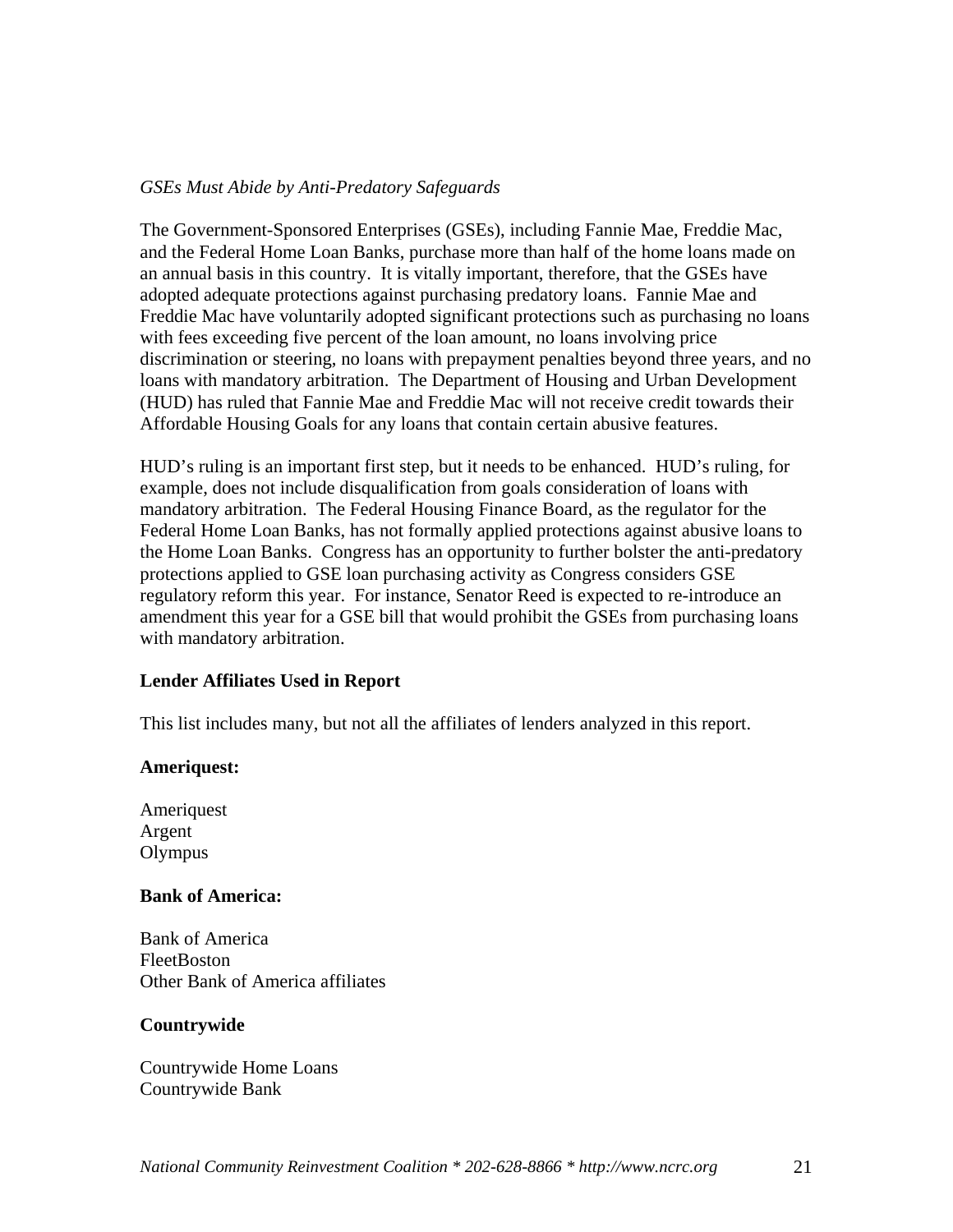#### *GSEs Must Abide by Anti-Predatory Safeguards*

The Government-Sponsored Enterprises (GSEs), including Fannie Mae, Freddie Mac, and the Federal Home Loan Banks, purchase more than half of the home loans made on an annual basis in this country. It is vitally important, therefore, that the GSEs have adopted adequate protections against purchasing predatory loans. Fannie Mae and Freddie Mac have voluntarily adopted significant protections such as purchasing no loans with fees exceeding five percent of the loan amount, no loans involving price discrimination or steering, no loans with prepayment penalties beyond three years, and no loans with mandatory arbitration. The Department of Housing and Urban Development (HUD) has ruled that Fannie Mae and Freddie Mac will not receive credit towards their Affordable Housing Goals for any loans that contain certain abusive features.

HUD's ruling is an important first step, but it needs to be enhanced. HUD's ruling, for example, does not include disqualification from goals consideration of loans with mandatory arbitration. The Federal Housing Finance Board, as the regulator for the Federal Home Loan Banks, has not formally applied protections against abusive loans to the Home Loan Banks. Congress has an opportunity to further bolster the anti-predatory protections applied to GSE loan purchasing activity as Congress considers GSE regulatory reform this year. For instance, Senator Reed is expected to re-introduce an amendment this year for a GSE bill that would prohibit the GSEs from purchasing loans with mandatory arbitration.

#### **Lender Affiliates Used in Report**

This list includes many, but not all the affiliates of lenders analyzed in this report.

#### **Ameriquest:**

Ameriquest Argent **Olympus** 

#### **Bank of America:**

Bank of America FleetBoston Other Bank of America affiliates

#### **Countrywide**

Countrywide Home Loans Countrywide Bank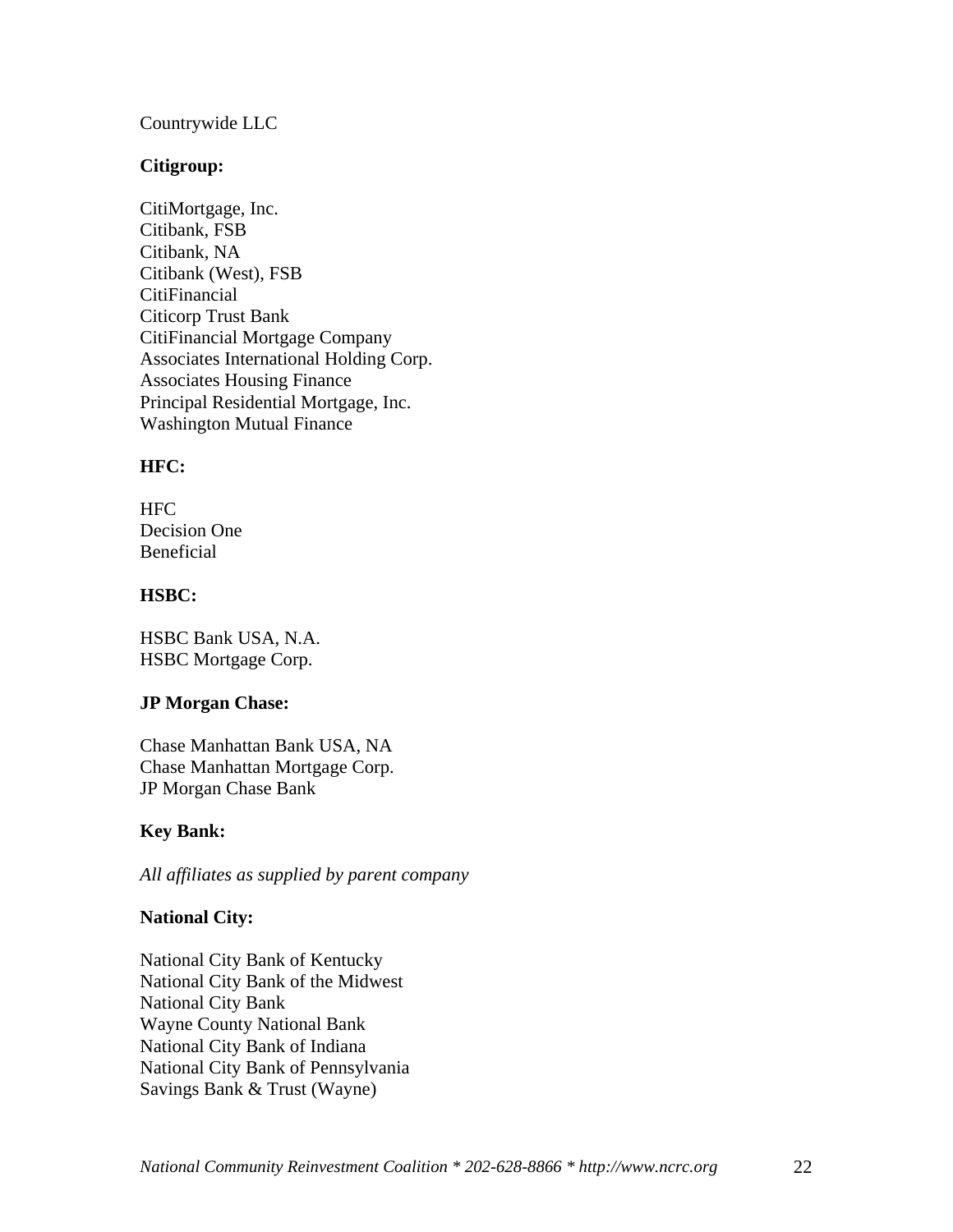#### Countrywide LLC

#### **Citigroup:**

CitiMortgage, Inc. Citibank, FSB Citibank, NA Citibank (West), FSB **CitiFinancial** Citicorp Trust Bank CitiFinancial Mortgage Company Associates International Holding Corp. Associates Housing Finance Principal Residential Mortgage, Inc. Washington Mutual Finance

#### **HFC:**

| <b>HFC</b>   |
|--------------|
| Decision One |
| Beneficial   |

#### **HSBC:**

HSBC Bank USA, N.A. HSBC Mortgage Corp.

#### **JP Morgan Chase:**

Chase Manhattan Bank USA, NA Chase Manhattan Mortgage Corp. JP Morgan Chase Bank

#### **Key Bank:**

*All affiliates as supplied by parent company*

#### **National City:**

National City Bank of Kentucky National City Bank of the Midwest National City Bank Wayne County National Bank National City Bank of Indiana National City Bank of Pennsylvania Savings Bank & Trust (Wayne)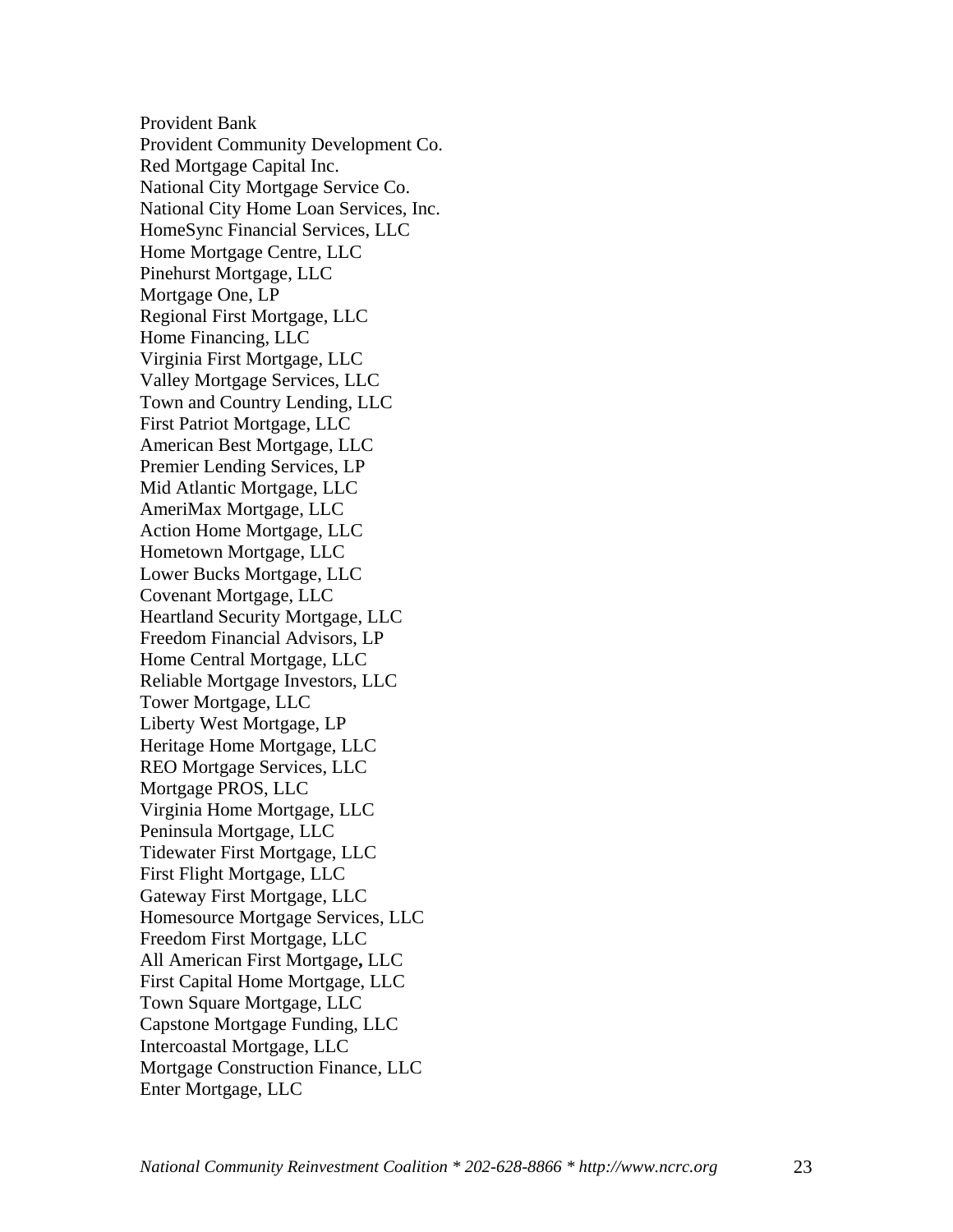Provident Bank Provident Community Development Co. Red Mortgage Capital Inc. National City Mortgage Service Co. National City Home Loan Services, Inc. HomeSync Financial Services, LLC Home Mortgage Centre, LLC Pinehurst Mortgage, LLC Mortgage One, LP Regional First Mortgage, LLC Home Financing, LLC Virginia First Mortgage, LLC Valley Mortgage Services, LLC Town and Country Lending, LLC First Patriot Mortgage, LLC American Best Mortgage, LLC Premier Lending Services, LP Mid Atlantic Mortgage, LLC AmeriMax Mortgage, LLC Action Home Mortgage, LLC Hometown Mortgage, LLC Lower Bucks Mortgage, LLC Covenant Mortgage, LLC Heartland Security Mortgage, LLC Freedom Financial Advisors, LP Home Central Mortgage, LLC Reliable Mortgage Investors, LLC Tower Mortgage, LLC Liberty West Mortgage, LP Heritage Home Mortgage, LLC REO Mortgage Services, LLC Mortgage PROS, LLC Virginia Home Mortgage, LLC Peninsula Mortgage, LLC Tidewater First Mortgage, LLC First Flight Mortgage, LLC Gateway First Mortgage, LLC Homesource Mortgage Services, LLC Freedom First Mortgage, LLC All American First Mortgage**,** LLC First Capital Home Mortgage, LLC Town Square Mortgage, LLC Capstone Mortgage Funding, LLC Intercoastal Mortgage, LLC Mortgage Construction Finance, LLC Enter Mortgage, LLC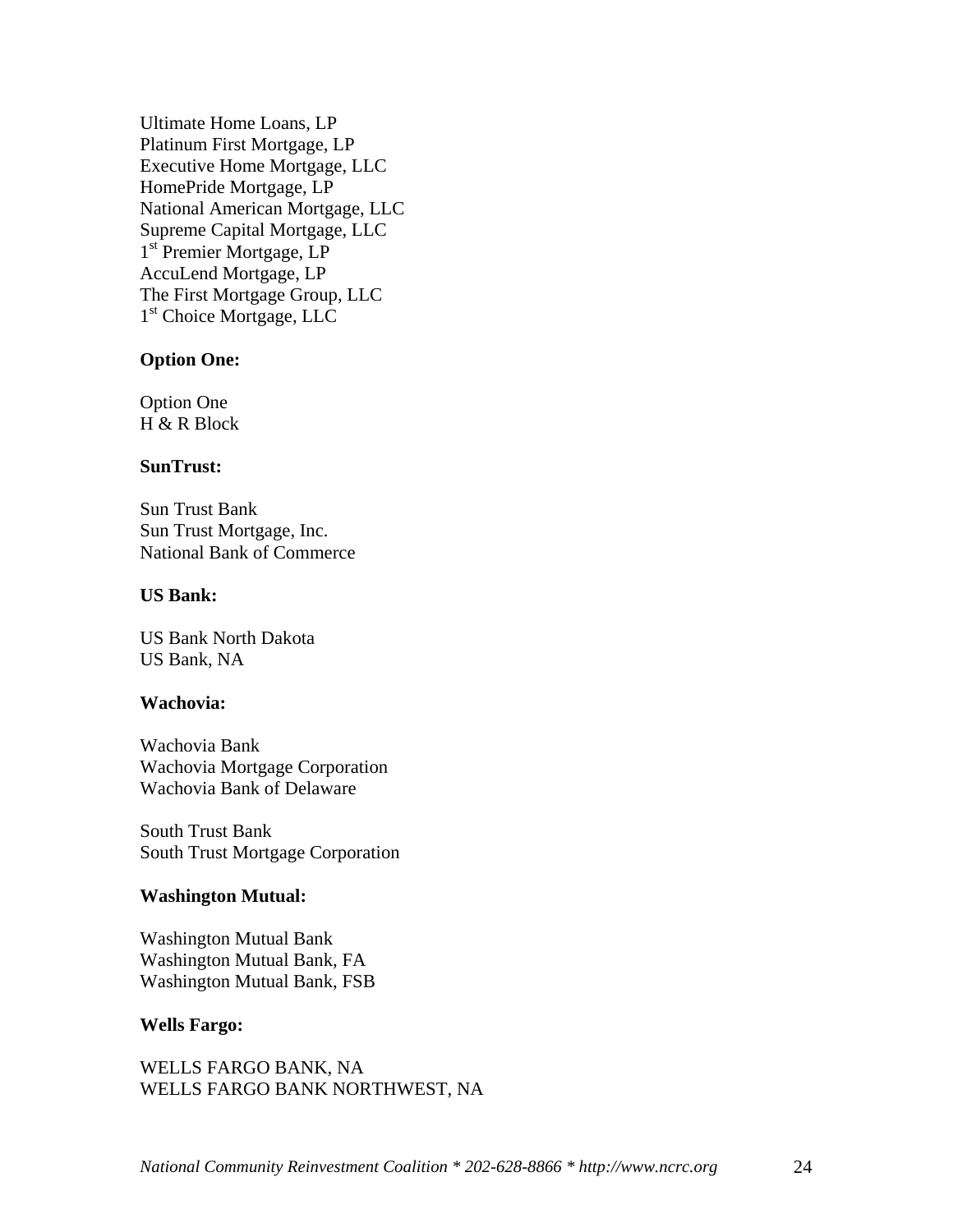Ultimate Home Loans, LP Platinum First Mortgage, LP Executive Home Mortgage, LLC HomePride Mortgage, LP National American Mortgage, LLC Supreme Capital Mortgage, LLC 1<sup>st</sup> Premier Mortgage, LP AccuLend Mortgage, LP The First Mortgage Group, LLC 1<sup>st</sup> Choice Mortgage, LLC

#### **Option One:**

Option One  $H \& R$  Block

#### **SunTrust:**

Sun Trust Bank Sun Trust Mortgage, Inc. National Bank of Commerce

#### **US Bank:**

US Bank North Dakota US Bank, NA

#### **Wachovia:**

Wachovia Bank Wachovia Mortgage Corporation Wachovia Bank of Delaware

South Trust Bank South Trust Mortgage Corporation

#### **Washington Mutual:**

Washington Mutual Bank Washington Mutual Bank, FA Washington Mutual Bank, FSB

#### **Wells Fargo:**

WELLS FARGO BANK, NA WELLS FARGO BANK NORTHWEST, NA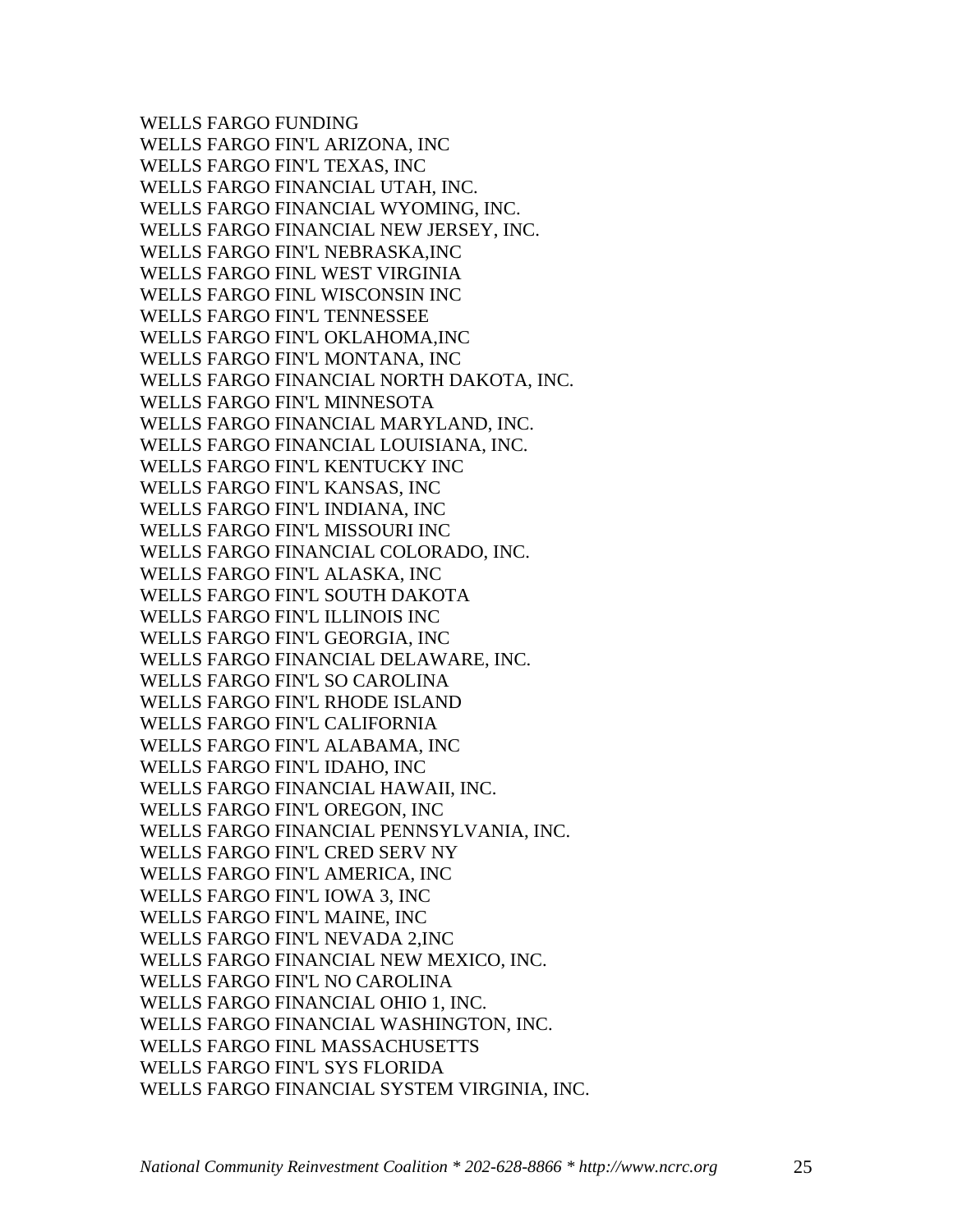WELLS FARGO FUNDING WELLS FARGO FIN'L ARIZONA, INC WELLS FARGO FIN'L TEXAS, INC WELLS FARGO FINANCIAL UTAH, INC. WELLS FARGO FINANCIAL WYOMING, INC. WELLS FARGO FINANCIAL NEW JERSEY, INC. WELLS FARGO FIN'L NEBRASKA,INC WELLS FARGO FINL WEST VIRGINIA WELLS FARGO FINL WISCONSIN INC WELLS FARGO FIN'L TENNESSEE WELLS FARGO FIN'L OKLAHOMA,INC WELLS FARGO FIN'L MONTANA, INC WELLS FARGO FINANCIAL NORTH DAKOTA, INC. WELLS FARGO FIN'L MINNESOTA WELLS FARGO FINANCIAL MARYLAND, INC. WELLS FARGO FINANCIAL LOUISIANA, INC. WELLS FARGO FIN'L KENTUCKY INC WELLS FARGO FIN'L KANSAS, INC WELLS FARGO FIN'L INDIANA, INC WELLS FARGO FIN'L MISSOURI INC WELLS FARGO FINANCIAL COLORADO, INC. WELLS FARGO FIN'L ALASKA, INC WELLS FARGO FIN'L SOUTH DAKOTA WELLS FARGO FIN'L ILLINOIS INC WELLS FARGO FIN'L GEORGIA, INC WELLS FARGO FINANCIAL DELAWARE, INC. WELLS FARGO FIN'L SO CAROLINA WELLS FARGO FIN'L RHODE ISLAND WELLS FARGO FIN'L CALIFORNIA WELLS FARGO FIN'L ALABAMA, INC WELLS FARGO FIN'L IDAHO, INC WELLS FARGO FINANCIAL HAWAII, INC. WELLS FARGO FIN'L OREGON, INC WELLS FARGO FINANCIAL PENNSYLVANIA, INC. WELLS FARGO FIN'L CRED SERV NY WELLS FARGO FIN'L AMERICA, INC WELLS FARGO FIN'L IOWA 3, INC WELLS FARGO FIN'L MAINE, INC WELLS FARGO FIN'L NEVADA 2,INC WELLS FARGO FINANCIAL NEW MEXICO, INC. WELLS FARGO FIN'L NO CAROLINA WELLS FARGO FINANCIAL OHIO 1, INC. WELLS FARGO FINANCIAL WASHINGTON, INC. WELLS FARGO FINL MASSACHUSETTS WELLS FARGO FIN'L SYS FLORIDA WELLS FARGO FINANCIAL SYSTEM VIRGINIA, INC.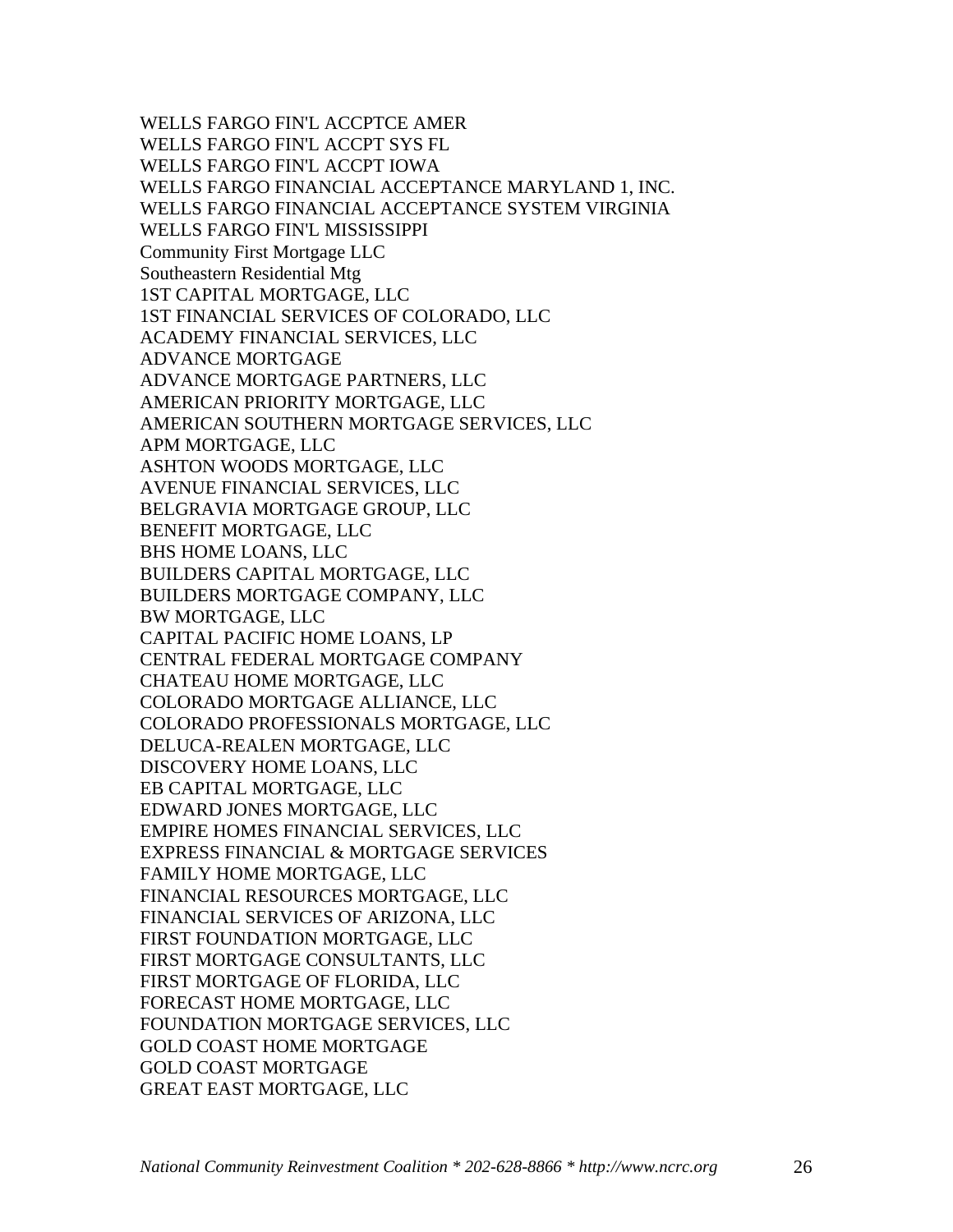WELLS FARGO FIN'L ACCPTCE AMER WELLS FARGO FIN'L ACCPT SYS FL WELLS FARGO FIN'L ACCPT IOWA WELLS FARGO FINANCIAL ACCEPTANCE MARYLAND 1, INC. WELLS FARGO FINANCIAL ACCEPTANCE SYSTEM VIRGINIA WELLS FARGO FIN'L MISSISSIPPI Community First Mortgage LLC Southeastern Residential Mtg 1ST CAPITAL MORTGAGE, LLC 1ST FINANCIAL SERVICES OF COLORADO, LLC ACADEMY FINANCIAL SERVICES, LLC ADVANCE MORTGAGE ADVANCE MORTGAGE PARTNERS, LLC AMERICAN PRIORITY MORTGAGE, LLC AMERICAN SOUTHERN MORTGAGE SERVICES, LLC APM MORTGAGE, LLC ASHTON WOODS MORTGAGE, LLC AVENUE FINANCIAL SERVICES, LLC BELGRAVIA MORTGAGE GROUP, LLC BENEFIT MORTGAGE, LLC BHS HOME LOANS, LLC BUILDERS CAPITAL MORTGAGE, LLC BUILDERS MORTGAGE COMPANY, LLC BW MORTGAGE, LLC CAPITAL PACIFIC HOME LOANS, LP CENTRAL FEDERAL MORTGAGE COMPANY CHATEAU HOME MORTGAGE, LLC COLORADO MORTGAGE ALLIANCE, LLC COLORADO PROFESSIONALS MORTGAGE, LLC DELUCA-REALEN MORTGAGE, LLC DISCOVERY HOME LOANS, LLC EB CAPITAL MORTGAGE, LLC EDWARD JONES MORTGAGE, LLC EMPIRE HOMES FINANCIAL SERVICES, LLC EXPRESS FINANCIAL & MORTGAGE SERVICES FAMILY HOME MORTGAGE, LLC FINANCIAL RESOURCES MORTGAGE, LLC FINANCIAL SERVICES OF ARIZONA, LLC FIRST FOUNDATION MORTGAGE, LLC FIRST MORTGAGE CONSULTANTS, LLC FIRST MORTGAGE OF FLORIDA, LLC FORECAST HOME MORTGAGE, LLC FOUNDATION MORTGAGE SERVICES, LLC GOLD COAST HOME MORTGAGE GOLD COAST MORTGAGE GREAT EAST MORTGAGE, LLC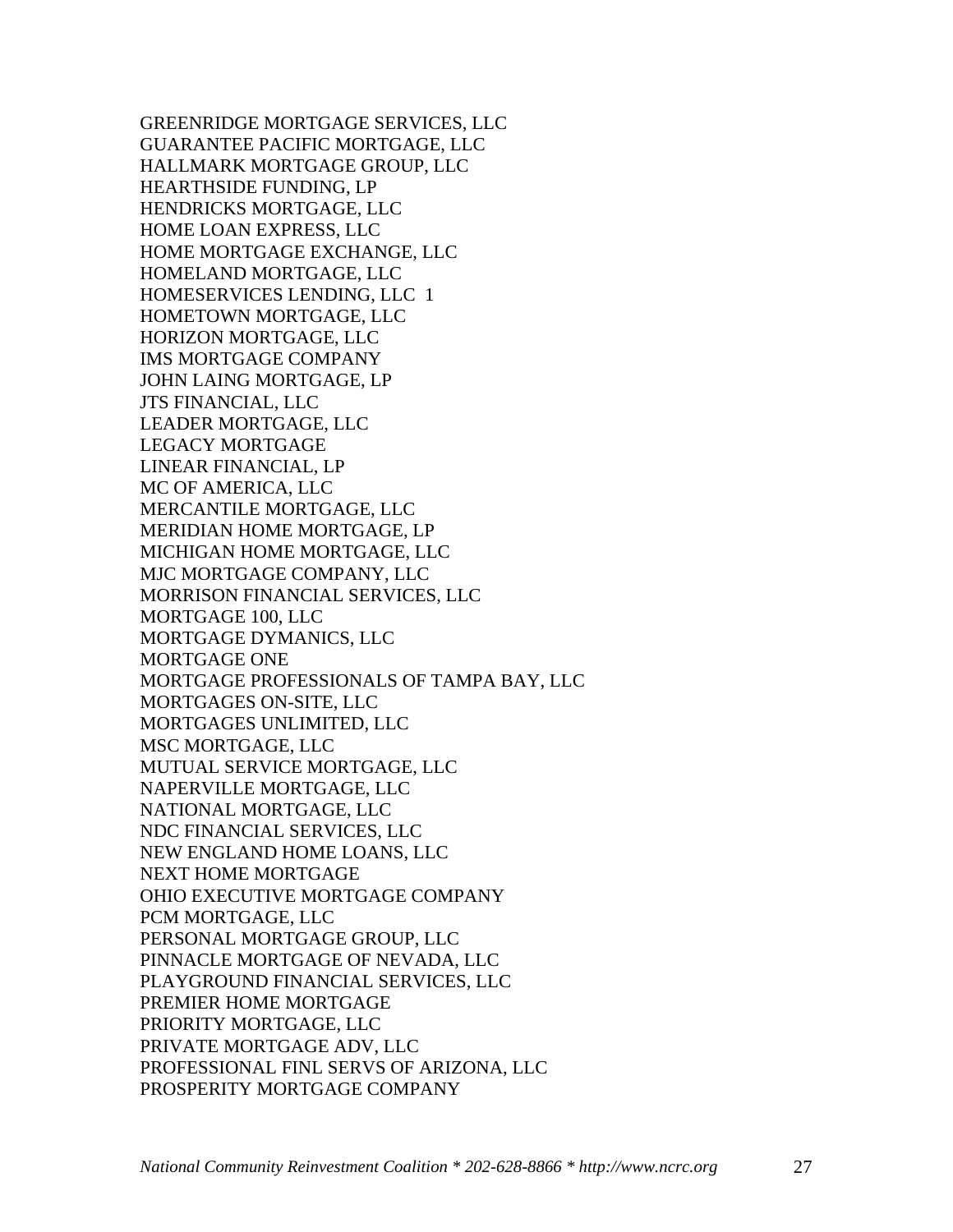GREENRIDGE MORTGAGE SERVICES, LLC GUARANTEE PACIFIC MORTGAGE, LLC HALLMARK MORTGAGE GROUP, LLC HEARTHSIDE FUNDING, LP HENDRICKS MORTGAGE, LLC HOME LOAN EXPRESS, LLC HOME MORTGAGE EXCHANGE, LLC HOMELAND MORTGAGE, LLC HOMESERVICES LENDING, LLC 1 HOMETOWN MORTGAGE, LLC HORIZON MORTGAGE, LLC IMS MORTGAGE COMPANY JOHN LAING MORTGAGE, LP JTS FINANCIAL, LLC LEADER MORTGAGE, LLC LEGACY MORTGAGE LINEAR FINANCIAL, LP MC OF AMERICA, LLC MERCANTILE MORTGAGE, LLC MERIDIAN HOME MORTGAGE, LP MICHIGAN HOME MORTGAGE, LLC MJC MORTGAGE COMPANY, LLC MORRISON FINANCIAL SERVICES, LLC MORTGAGE 100, LLC MORTGAGE DYMANICS, LLC MORTGAGE ONE MORTGAGE PROFESSIONALS OF TAMPA BAY, LLC MORTGAGES ON-SITE, LLC MORTGAGES UNLIMITED, LLC MSC MORTGAGE, LLC MUTUAL SERVICE MORTGAGE, LLC NAPERVILLE MORTGAGE, LLC NATIONAL MORTGAGE, LLC NDC FINANCIAL SERVICES, LLC NEW ENGLAND HOME LOANS, LLC NEXT HOME MORTGAGE OHIO EXECUTIVE MORTGAGE COMPANY PCM MORTGAGE, LLC PERSONAL MORTGAGE GROUP, LLC PINNACLE MORTGAGE OF NEVADA, LLC PLAYGROUND FINANCIAL SERVICES, LLC PREMIER HOME MORTGAGE PRIORITY MORTGAGE, LLC PRIVATE MORTGAGE ADV, LLC PROFESSIONAL FINL SERVS OF ARIZONA, LLC PROSPERITY MORTGAGE COMPANY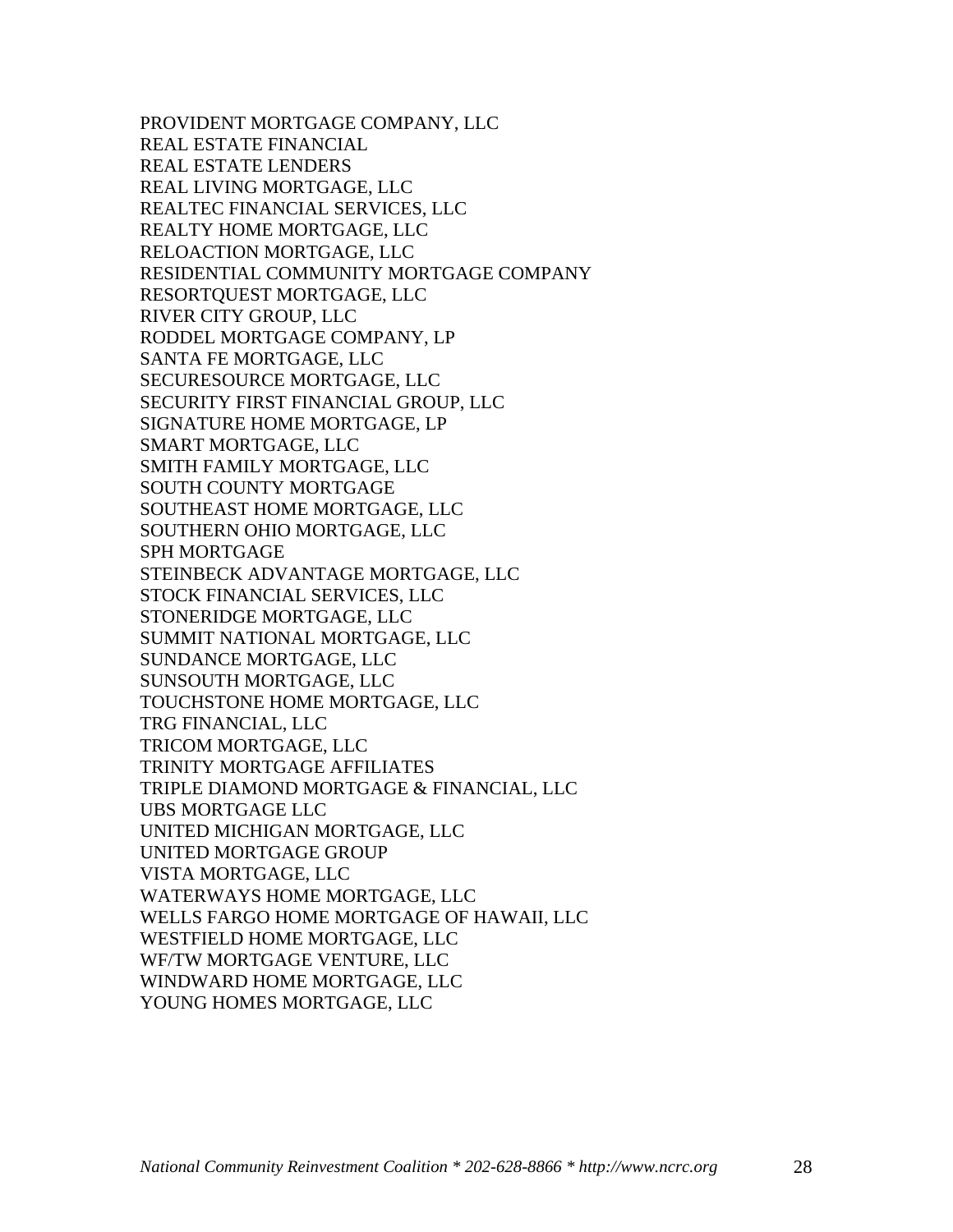PROVIDENT MORTGAGE COMPANY, LLC REAL ESTATE FINANCIAL REAL ESTATE LENDERS REAL LIVING MORTGAGE, LLC REALTEC FINANCIAL SERVICES, LLC REALTY HOME MORTGAGE, LLC RELOACTION MORTGAGE, LLC RESIDENTIAL COMMUNITY MORTGAGE COMPANY RESORTQUEST MORTGAGE, LLC RIVER CITY GROUP, LLC RODDEL MORTGAGE COMPANY, LP SANTA FE MORTGAGE, LLC SECURESOURCE MORTGAGE, LLC SECURITY FIRST FINANCIAL GROUP, LLC SIGNATURE HOME MORTGAGE, LP SMART MORTGAGE, LLC SMITH FAMILY MORTGAGE, LLC SOUTH COUNTY MORTGAGE SOUTHEAST HOME MORTGAGE, LLC SOUTHERN OHIO MORTGAGE, LLC SPH MORTGAGE STEINBECK ADVANTAGE MORTGAGE, LLC STOCK FINANCIAL SERVICES, LLC STONERIDGE MORTGAGE, LLC SUMMIT NATIONAL MORTGAGE, LLC SUNDANCE MORTGAGE, LLC SUNSOUTH MORTGAGE, LLC TOUCHSTONE HOME MORTGAGE, LLC TRG FINANCIAL, LLC TRICOM MORTGAGE, LLC TRINITY MORTGAGE AFFILIATES TRIPLE DIAMOND MORTGAGE & FINANCIAL, LLC UBS MORTGAGE LLC UNITED MICHIGAN MORTGAGE, LLC UNITED MORTGAGE GROUP VISTA MORTGAGE, LLC WATERWAYS HOME MORTGAGE, LLC WELLS FARGO HOME MORTGAGE OF HAWAII, LLC WESTFIELD HOME MORTGAGE, LLC WF/TW MORTGAGE VENTURE, LLC WINDWARD HOME MORTGAGE, LLC YOUNG HOMES MORTGAGE, LLC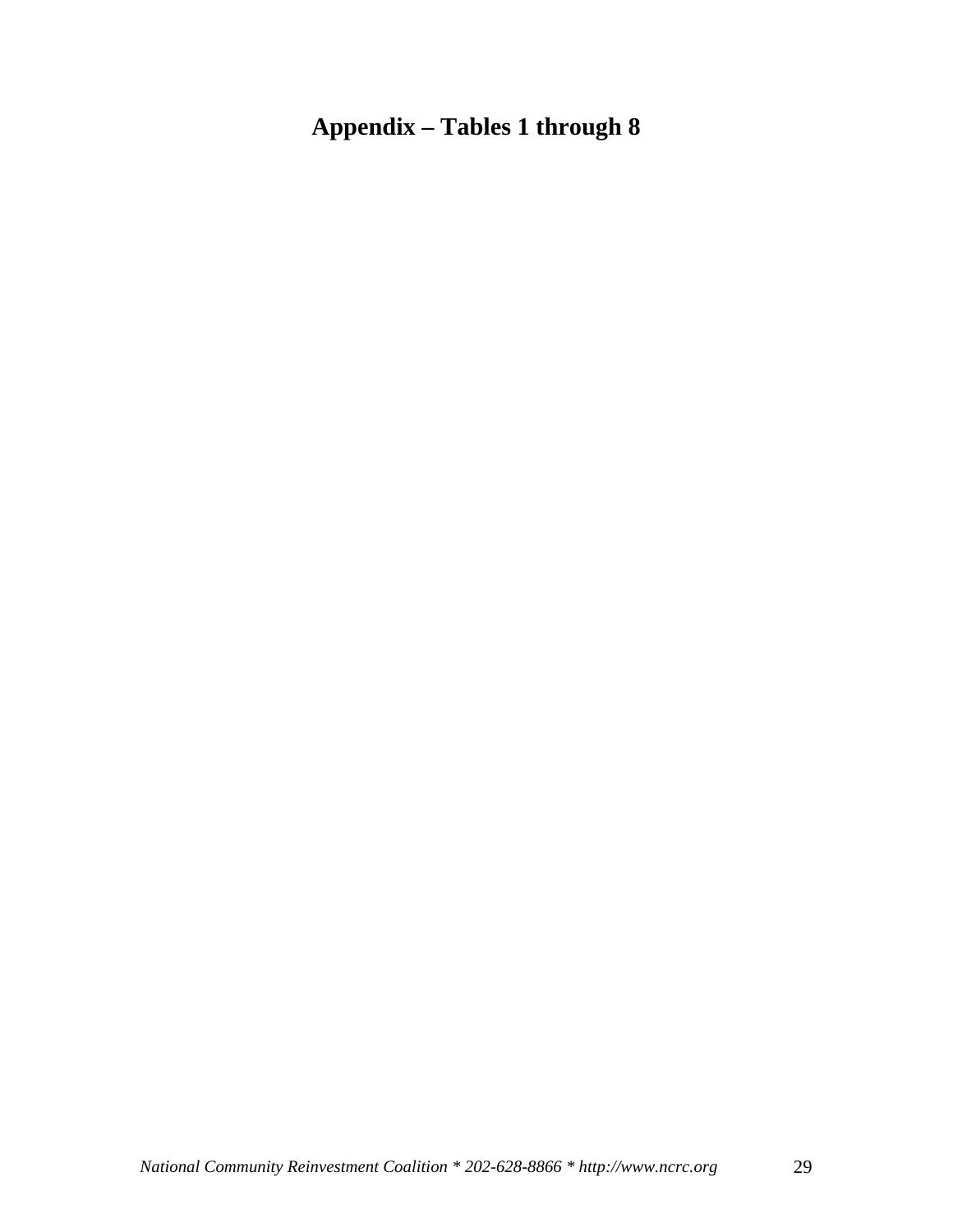# **Appendix – Tables 1 through 8**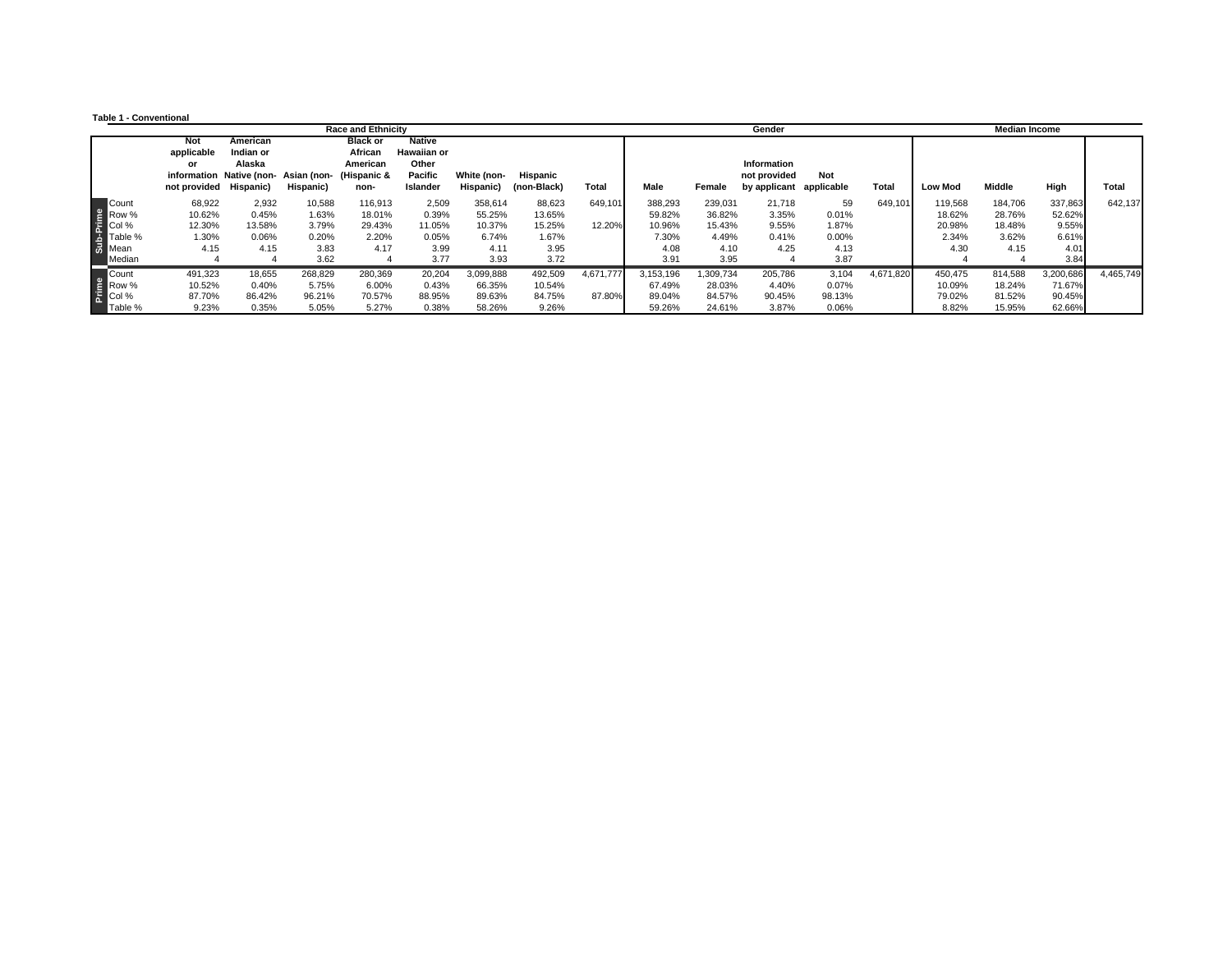**Table 1 - Conventional**

|                                     |                                                   |                                 |                                                   | <b>Race and Ethnicity</b>                                     |                                                                     |                          |                         |              | <b>Median Income</b><br>Gender |                  |                                                        |                 |           |                  |                  |                  |              |
|-------------------------------------|---------------------------------------------------|---------------------------------|---------------------------------------------------|---------------------------------------------------------------|---------------------------------------------------------------------|--------------------------|-------------------------|--------------|--------------------------------|------------------|--------------------------------------------------------|-----------------|-----------|------------------|------------------|------------------|--------------|
|                                     | Not<br>applicable<br>or<br>not provided Hispanic) | American<br>Indian or<br>Alaska | information Native (non- Asian (non-<br>Hispanic) | <b>Black or</b><br>African<br>American<br>(Hispanic &<br>non- | <b>Native</b><br><b>Hawaiian or</b><br>Other<br>Pacific<br>Islander | White (non-<br>Hispanic) | Hispanic<br>(non-Black) | <b>Total</b> | Male                           | Female           | Information<br>not provided<br>by applicant applicable | Not             | Total     | <b>Low Mod</b>   | <b>Middle</b>    | High             | <b>Total</b> |
| Count                               | 68,922                                            | 2,932                           | 10,588                                            | 116,913                                                       | 2,509                                                               | 358,614                  | 88,623                  | 649,101      | 388,293                        | 239,031          | 21,718                                                 | 59              | 649,101   | 119,568          | 184,706          | 337,863          | 642,137      |
| e Row %<br>Principle %<br>Sand Mean | 10.62%<br>12.30%                                  | 0.45%<br>13.58%                 | 1.63%<br>3.79%                                    | 18.01%<br>29.43%                                              | 0.39%<br>11.05%                                                     | 55.25%<br>10.37%         | 13.65%<br>15.25%        | 12.20%       | 59.82%<br>10.96%               | 36.82%<br>15.43% | 3.35%<br>9.55%                                         | 0.01%<br>1.87%  |           | 18.62%<br>20.98% | 28.76%<br>18.48% | 52.62%<br>9.55%  |              |
|                                     | 1.30%                                             | 0.06%                           | 0.20%                                             | 2.20%                                                         | 0.05%                                                               | 6.74%                    | 1.67%                   |              | 7.30%                          | 4.49%            | 0.41%                                                  | 0.00%           |           | 2.34%            | 3.62%            | 6.61%            |              |
| Median                              | 4.15                                              | 4.15                            | 3.83<br>3.62                                      | 4.17                                                          | 3.99<br>3.77                                                        | 4.11<br>3.93             | 3.95<br>3.72            |              | 4.08<br>3.91                   | 4.10<br>3.95     | 4.25                                                   | 4.13<br>3.87    |           | 4.30             | 4.15             | 4.01<br>3.84     |              |
| Count                               | 491,323                                           | 18,655                          | 268,829                                           | 280,369                                                       | 20,204                                                              | 3,099,888                | 492,509                 | 4,671,777    | 3.153.196                      | 1,309,734        | 205,786                                                | 3,104           | 4,671,820 | 450,475          | 814,588          | 3,200,686        | 4,465,749    |
| E Row %                             | 10.52%<br>87.70%                                  | 0.40%<br>86.42%                 | 5.75%<br>96.21%                                   | 6.00%<br>70.57%                                               | 0.43%<br>88.95%                                                     | 66.35%<br>89.63%         | 10.54%<br>84.75%        | 87.80%       | 67.49%<br>89.04%               | 28.03%<br>84.57% | 4.40%<br>90.45%                                        | 0.07%<br>98.13% |           | 10.09%<br>79.02% | 18.24%<br>81.52% | 71.67%<br>90.45% |              |
| Table %                             | 9.23%                                             | 0.35%                           | 5.05%                                             | 5.27%                                                         | 0.38%                                                               | 58.26%                   | 9.26%                   |              | 59.26%                         | 24.61%           | 3.87%                                                  | 0.06%           |           | 8.82%            | 15.95%           | 62.66%           |              |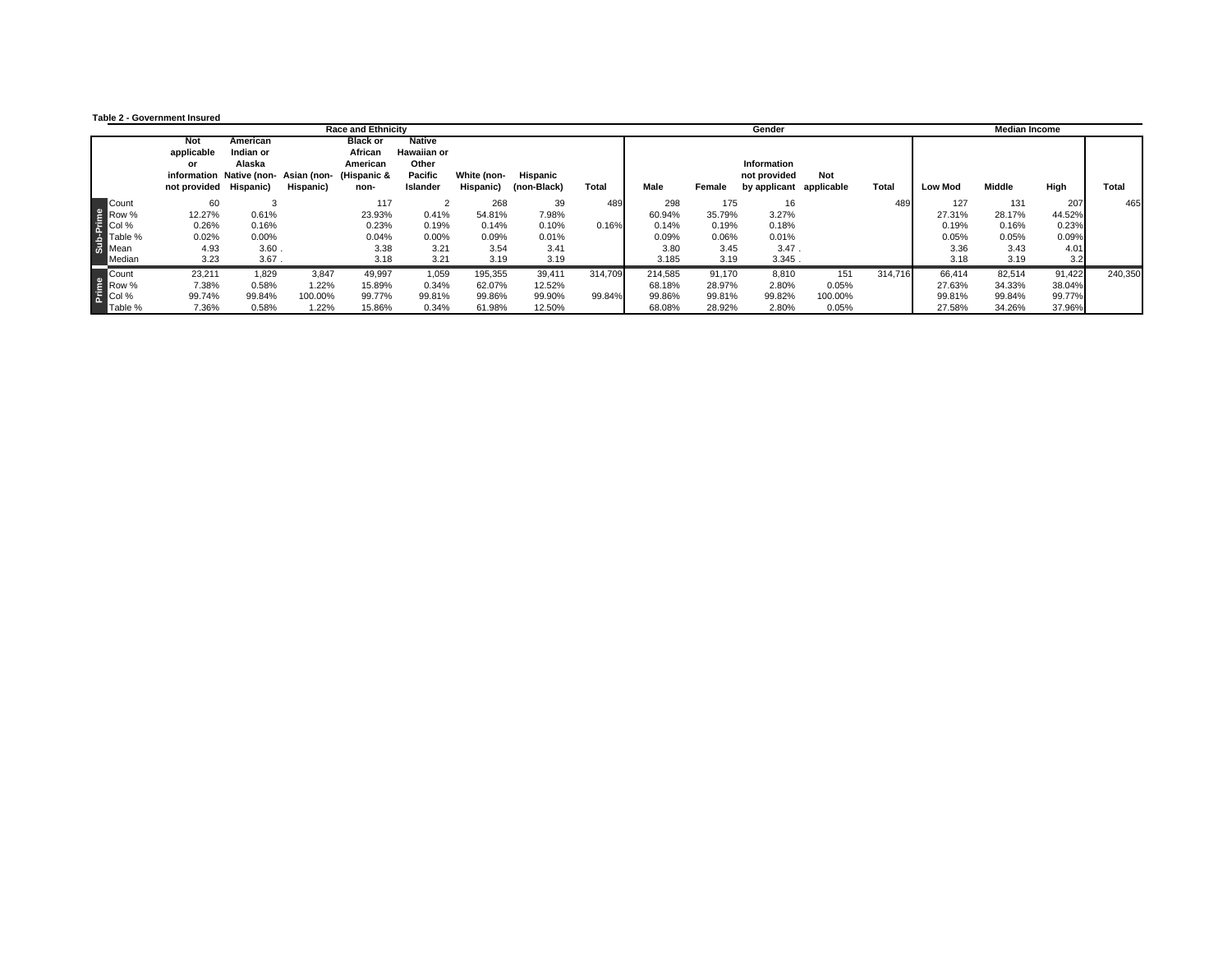#### **Table 2 - Government Insured**

|                                         |                                                   |                                                                        |           | <b>Race and Ethnicity</b>                                     |                                                                     |                          |                         |              |         |        | Gender                                                 |         |         |                | <b>Median Income</b> |        |              |
|-----------------------------------------|---------------------------------------------------|------------------------------------------------------------------------|-----------|---------------------------------------------------------------|---------------------------------------------------------------------|--------------------------|-------------------------|--------------|---------|--------|--------------------------------------------------------|---------|---------|----------------|----------------------|--------|--------------|
|                                         | Not<br>applicable<br>or<br>not provided Hispanic) | American<br>Indian or<br>Alaska<br>information Native (non-Asian (non- | Hispanic) | <b>Black or</b><br>African<br>American<br>(Hispanic &<br>non- | <b>Native</b><br><b>Hawaiian or</b><br>Other<br>Pacific<br>Islander | White (non-<br>Hispanic) | Hispanic<br>(non-Black) | <b>Total</b> | Male    | Female | Information<br>not provided<br>by applicant applicable | Not     | Total   | <b>Low Mod</b> | Middle               | High   | <b>Total</b> |
| Count                                   | 60                                                |                                                                        |           | 117                                                           |                                                                     | 268                      | 39                      | 489          | 298     | 175    | 16                                                     |         | 489     | 127            | 131                  | 207    | 465          |
| e<br>Principle<br>Business<br>Some Mean | 12.27%                                            | 0.61%                                                                  |           | 23.93%                                                        | 0.41%                                                               | 54.81%                   | 7.98%                   |              | 60.94%  | 35.79% | 3.27%                                                  |         |         | 27.31%         | 28.17%               | 44.52% |              |
|                                         | 0.26%                                             | 0.16%                                                                  |           | 0.23%                                                         | 0.19%                                                               | 0.14%                    | 0.10%                   | 0.16%        | 0.14%   | 0.19%  | 0.18%                                                  |         |         | 0.19%          | 0.16%                | 0.23%  |              |
|                                         | 0.02%                                             | 0.00%                                                                  |           | 0.04%                                                         | 0.00%                                                               | 0.09%                    | 0.01%                   |              | 0.09%   | 0.06%  | 0.01%                                                  |         |         | 0.05%          | 0.05%                | 0.09%  |              |
|                                         | 4.93                                              | 3.60                                                                   |           | 3.38                                                          | 3.21                                                                | 3.54                     | 3.41                    |              | 3.80    | 3.45   | 3.47.                                                  |         |         | 3.36           | 3.43                 | 4.01   |              |
| Median                                  | 3.23                                              | 3.67                                                                   |           | 3.18                                                          | 3.21                                                                | 3.19                     | 3.19                    |              | 3.185   | 3.19   | 3.345.                                                 |         |         | 3.18           | 3.19                 | 3.2    |              |
| Count                                   | 23,211                                            | 1,829                                                                  | 3,847     | 49,997                                                        | 1,059                                                               | 195,355                  | 39,411                  | 314.709      | 214.585 | 91,170 | 8,810                                                  | 151     | 314.716 | 66,414         | 82,514               | 91,422 | 240,350      |
|                                         | 7.38%                                             | 0.58%                                                                  | 1.22%     | 15.89%                                                        | 0.34%                                                               | 62.07%                   | 12.52%                  |              | 68.18%  | 28.97% | 2.80%                                                  | 0.05%   |         | 27.63%         | 34.33%               | 38.04% |              |
| e Count<br>E Row %                      | 99.74%                                            | 99.84%                                                                 | 100.00%   | 99.77%                                                        | 99.81%                                                              | 99.86%                   | 99.90%                  | 99.84%       | 99.86%  | 99.81% | 99.82%                                                 | 100.00% |         | 99.81%         | 99.84%               | 99.77% |              |
| Table %                                 | 7.36%                                             | 0.58%                                                                  | 1.22%     | 15.86%                                                        | 0.34%                                                               | 61.98%                   | 12.50%                  |              | 68.08%  | 28.92% | 2.80%                                                  | 0.05%   |         | 27.58%         | 34.26%               | 37.96% |              |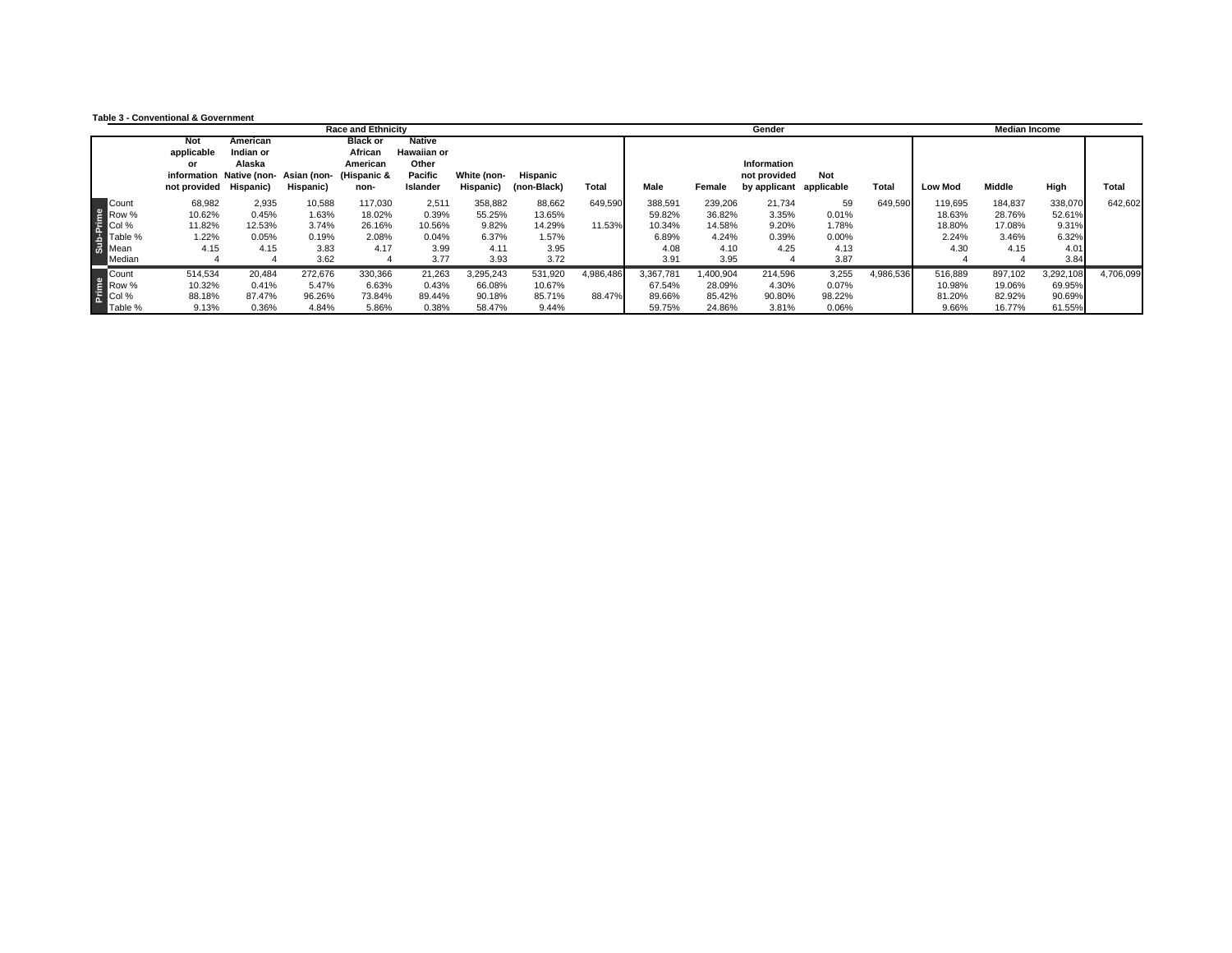|  | <b>Table 3 - Conventional &amp; Government</b> |  |  |
|--|------------------------------------------------|--|--|
|--|------------------------------------------------|--|--|

|                                                  |                                                   |                                           |                                                  | <b>Race and Ethnicity</b>                                     |                                                                     |                                             |                                             |                     |                                              |                                              | Gender                                      |                                       |           |                                              | <b>Median Income</b>                         |                                             |              |
|--------------------------------------------------|---------------------------------------------------|-------------------------------------------|--------------------------------------------------|---------------------------------------------------------------|---------------------------------------------------------------------|---------------------------------------------|---------------------------------------------|---------------------|----------------------------------------------|----------------------------------------------|---------------------------------------------|---------------------------------------|-----------|----------------------------------------------|----------------------------------------------|---------------------------------------------|--------------|
|                                                  | Not<br>applicable<br>or<br>not provided Hispanic) | American<br>Indian or<br>Alaska           | information Native (non-Asian (non-<br>Hispanic) | <b>Black or</b><br>African<br>American<br>(Hispanic &<br>non- | <b>Native</b><br><b>Hawaiian or</b><br>Other<br>Pacific<br>Islander | White (non-<br>Hispanic)                    | Hispanic<br>(non-Black)                     | <b>Total</b>        | Male                                         | Female                                       | Information<br>not provided<br>by applicant | Not<br>applicable                     | Total     | <b>Low Mod</b>                               | Middle                                       | High                                        | <b>Total</b> |
| Count<br>e<br>Principle<br>Business<br>Some Mean | 68,982<br>10.62%<br>11.82%<br>1.22%<br>4.15       | 2,935<br>0.45%<br>12.53%<br>0.05%<br>4.15 | 10,588<br>1.63%<br>3.74%<br>0.19%<br>3.83        | 117,030<br>18.02%<br>26.16%<br>2.08%<br>4.17                  | 2,511<br>0.39%<br>10.56%<br>0.04%<br>3.99                           | 358,882<br>55.25%<br>9.82%<br>6.37%<br>4.11 | 88,662<br>13.65%<br>14.29%<br>1.57%<br>3.95 | 649,590<br>11.53%   | 388,591<br>59.82%<br>10.34%<br>6.89%<br>4.08 | 239,206<br>36.82%<br>14.58%<br>4.24%<br>4.10 | 21,734<br>3.35%<br>9.20%<br>0.39%<br>4.25   | 59<br>0.01%<br>1.78%<br>0.00%<br>4.13 | 649,590   | 119,695<br>18.63%<br>18.80%<br>2.24%<br>4.30 | 184,837<br>28.76%<br>17.08%<br>3.46%<br>4.15 | 338,070<br>52.61%<br>9.31%<br>6.32%<br>4.01 | 642,602      |
| Median                                           |                                                   |                                           | 3.62                                             |                                                               | 3.77                                                                | 3.93                                        | 3.72                                        |                     | 3.91                                         | 3.95                                         |                                             | 3.87                                  |           |                                              |                                              | 3.84                                        |              |
| Count<br>e Count<br>E Row %                      | 514,534<br>10.32%<br>88.18%                       | 20,484<br>0.41%<br>87.47%                 | 272,676<br>5.47%<br>96.26%                       | 330,366<br>6.63%<br>73.84%                                    | 21,263<br>0.43%<br>89.44%                                           | 3,295,243<br>66.08%<br>90.18%               | 531,920<br>10.67%<br>85.71%                 | 4,986,486<br>88.47% | 3,367,781<br>67.54%<br>89.66%                | 1,400,904<br>28.09%<br>85.42%                | 214,596<br>4.30%<br>90.80%                  | 3,255<br>0.07%<br>98.22%              | 4,986,536 | 516,889<br>10.98%<br>81.20%                  | 897,102<br>19.06%<br>82.92%                  | 3,292,108<br>69.95%<br>90.69%               | 4,706,099    |
| Table %                                          | 9.13%                                             | 0.36%                                     | 4.84%                                            | 5.86%                                                         | 0.38%                                                               | 58.47%                                      | 9.44%                                       |                     | 59.75%                                       | 24.86%                                       | 3.81%                                       | 0.06%                                 |           | 9.66%                                        | 16.77%                                       | 61.55%                                      |              |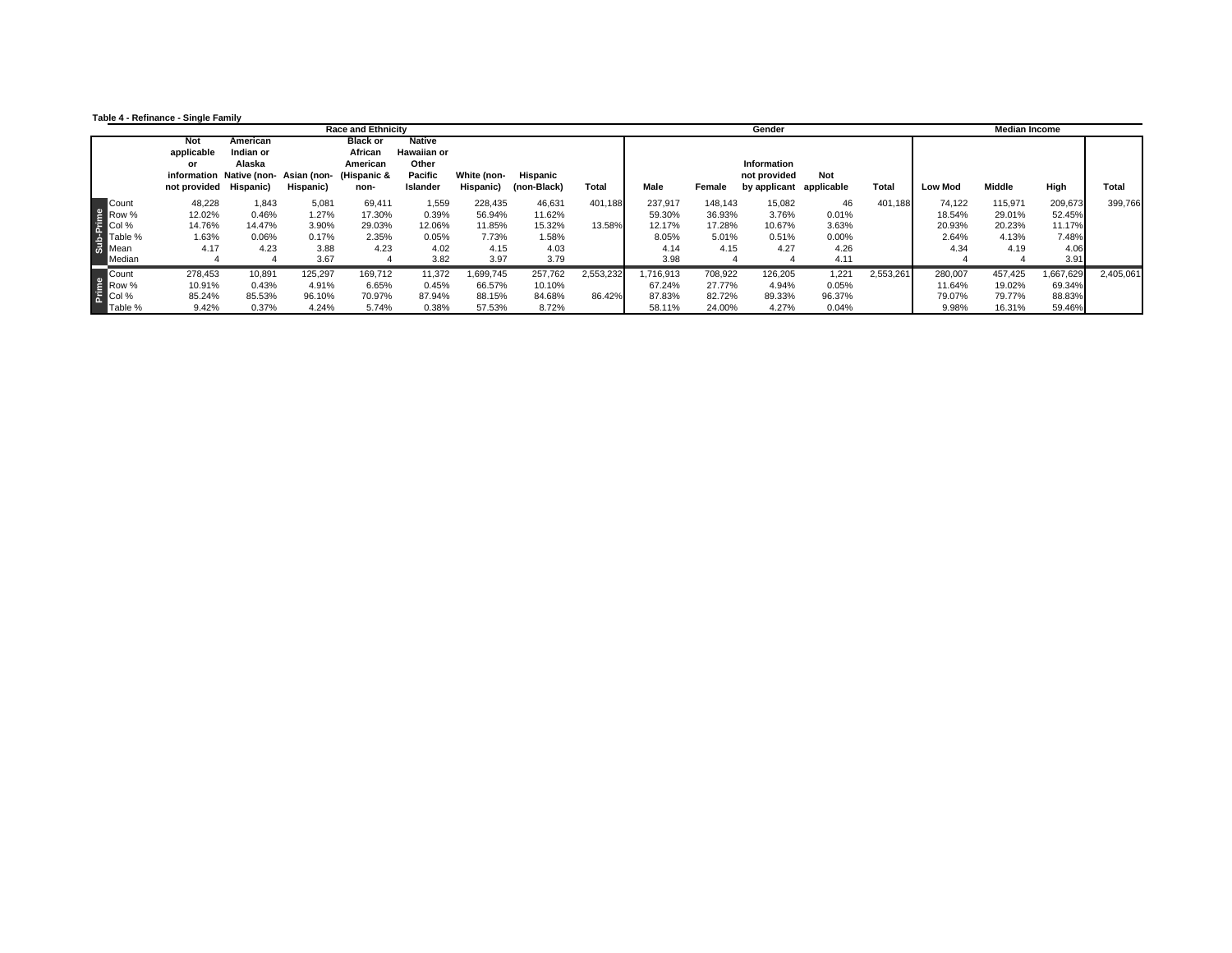|  | Table 4 - Refinance - Single Family |  |  |
|--|-------------------------------------|--|--|
|--|-------------------------------------|--|--|

|                                                            |                                                          |                                           |                                                  | <b>Race and Ethnicity</b>                                     |                                                                     |                                                      |                                                     |                     |                                                      |                                              | Gender                                                 |                                                  |              |                                             | <b>Median Income</b>                         |                                                      |              |
|------------------------------------------------------------|----------------------------------------------------------|-------------------------------------------|--------------------------------------------------|---------------------------------------------------------------|---------------------------------------------------------------------|------------------------------------------------------|-----------------------------------------------------|---------------------|------------------------------------------------------|----------------------------------------------|--------------------------------------------------------|--------------------------------------------------|--------------|---------------------------------------------|----------------------------------------------|------------------------------------------------------|--------------|
|                                                            | <b>Not</b><br>applicable<br>or<br>not provided Hispanic) | American<br>Indian or<br>Alaska           | information Native (non-Asian (non-<br>Hispanic) | <b>Black or</b><br>African<br>American<br>(Hispanic &<br>non- | <b>Native</b><br><b>Hawaiian or</b><br>Other<br>Pacific<br>Islander | White (non-<br>Hispanic)                             | Hispanic<br>(non-Black)                             | <b>Total</b>        | Male                                                 | Female                                       | Information<br>not provided<br>by applicant applicable | Not                                              | <b>Total</b> | <b>Low Mod</b>                              | Middle                                       | High                                                 | <b>Total</b> |
| Count<br>e<br>Principle<br>Business<br>Some Mean<br>Median | 48,228<br>12.02%<br>14.76%<br>1.63%<br>4.17              | 1,843<br>0.46%<br>14.47%<br>0.06%<br>4.23 | 5,081<br>1.27%<br>3.90%<br>0.17%<br>3.88<br>3.67 | 69,411<br>17.30%<br>29.03%<br>2.35%<br>4.23                   | 1,559<br>0.39%<br>12.06%<br>0.05%<br>4.02<br>3.82                   | 228,435<br>56.94%<br>11.85%<br>7.73%<br>4.15<br>3.97 | 46,631<br>11.62%<br>15.32%<br>1.58%<br>4.03<br>3.79 | 401,188<br>13.58%   | 237,917<br>59.30%<br>12.17%<br>8.05%<br>4.14<br>3.98 | 148,143<br>36.93%<br>17.28%<br>5.01%<br>4.15 | 15,082<br>3.76%<br>10.67%<br>0.51%<br>4.27             | 46<br>0.01%<br>3.63%<br>$0.00\%$<br>4.26<br>4.11 | 401,188      | 74,122<br>18.54%<br>20.93%<br>2.64%<br>4.34 | 115,971<br>29.01%<br>20.23%<br>4.13%<br>4.19 | 209,673<br>52.45%<br>11.17%<br>7.48%<br>4.06<br>3.91 | 399,766      |
| e<br>Row %<br>E<br>Col %<br>Table %                        | 278,453<br>10.91%<br>85.24%<br>9.42%                     | 10,891<br>0.43%<br>85.53%<br>0.37%        | 125,297<br>4.91%<br>96.10%<br>4.24%              | 169,712<br>6.65%<br>70.97%<br>5.74%                           | 11,372<br>0.45%<br>87.94%<br>0.38%                                  | 1,699,745<br>66.57%<br>88.15%<br>57.53%              | 257,762<br>10.10%<br>84.68%<br>8.72%                | 2,553,232<br>86.42% | 1.716.913<br>67.24%<br>87.83%<br>58.11%              | 708,922<br>27.77%<br>82.72%<br>24.00%        | 126,205<br>4.94%<br>89.33%<br>4.27%                    | 1,221<br>0.05%<br>96.37%<br>0.04%                | 2,553,261    | 280,007<br>11.64%<br>79.07%<br>9.98%        | 457,425<br>19.02%<br>79.77%<br>16.31%        | 1,667,629<br>69.34%<br>88.83%<br>59.46%              | 2,405,061    |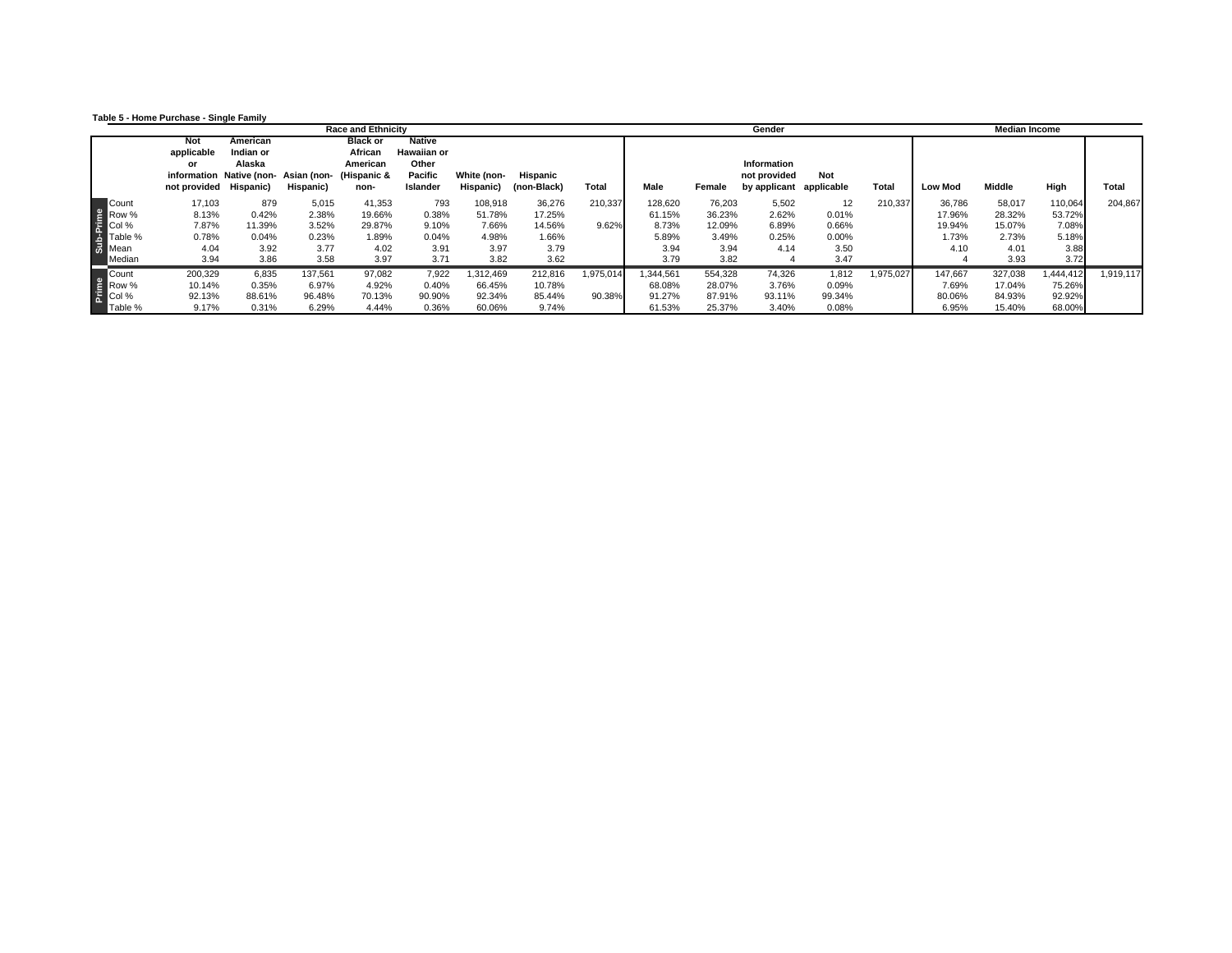**Table 5 - Home Purchase - Single Family**

|                                                        |         |                        |           |                                     | <b>Race and Ethnicity</b> |                    |             |             |              |           |         | Gender       |            |           |                | <b>Median Income</b> |         |              |
|--------------------------------------------------------|---------|------------------------|-----------|-------------------------------------|---------------------------|--------------------|-------------|-------------|--------------|-----------|---------|--------------|------------|-----------|----------------|----------------------|---------|--------------|
|                                                        |         | Not                    | American  |                                     | <b>Black or</b>           | <b>Native</b>      |             |             |              |           |         |              |            |           |                |                      |         |              |
|                                                        |         | applicable             | Indian or |                                     | African                   | <b>Hawaiian or</b> |             |             |              |           |         |              |            |           |                |                      |         |              |
|                                                        |         | or                     | Alaska    |                                     | American                  | Other              |             |             |              |           |         | Information  |            |           |                |                      |         |              |
|                                                        |         |                        |           | information Native (non-Asian (non- | (Hispanic &               | Pacific            | White (non- | Hispanic    |              |           |         | not provided | Not        |           |                |                      |         |              |
|                                                        |         | not provided Hispanic) |           | Hispanic)                           | non-                      | Islander           | Hispanic)   | (non-Black) | <b>Total</b> | Male      | Female  | by applicant | applicable | Total     | <b>Low Mod</b> | Middle               | High    | <b>Total</b> |
| e Pount<br>Row %<br>Col %<br>Table %<br>Mean<br>Median |         | 17,103                 | 879       | 5,015                               | 41,353                    | 793                | 108,918     | 36,276      | 210,337      | 128,620   | 76,203  | 5,502        | 12         | 210,337   | 36,786         | 58,017               | 110,064 | 204,867      |
|                                                        |         | 8.13%                  | 0.42%     | 2.38%                               | 19.66%                    | 0.38%              | 51.78%      | 17.25%      |              | 61.15%    | 36.23%  | 2.62%        | 0.01%      |           | 17.96%         | 28.32%               | 53.72%  |              |
|                                                        |         | 7.87%                  | 11.39%    | 3.52%                               | 29.87%                    | 9.10%              | 7.66%       | 14.56%      | 9.62%        | 8.73%     | 12.09%  | 6.89%        | 0.66%      |           | 19.94%         | 15.07%               | 7.08%   |              |
|                                                        | Table % | 0.78%                  | 0.04%     | 0.23%                               | 1.89%                     | 0.04%              | 4.98%       | 1.66%       |              | 5.89%     | 3.49%   | 0.25%        | 0.00%      |           | 1.73%          | 2.73%                | 5.18%   |              |
|                                                        |         | 4.04                   | 3.92      | 3.77                                | 4.02                      | 3.91               | 3.97        | 3.79        |              | 3.94      | 3.94    | 4.14         | 3.50       |           | 4.10           | 4.01                 | 3.88    |              |
|                                                        |         | 3.94                   | 3.86      | 3.58                                | 3.97                      | 3.71               | 3.82        | 3.62        |              | 3.79      | 3.82    |              | 3.47       |           |                | 3.93                 | 3.72    |              |
| E<br>Row %<br>Col %<br>Table %                         |         | 200,329                | 6,835     | 137,561                             | 97,082                    | 7,922              | 312,469     | 212,816     | 1,975,014    | 1.344.561 | 554,328 | 74,326       | 1,812      | 1,975,027 | 147,667        | 327,038              | 444,412 | 1,919,117    |
|                                                        |         | 10.14%                 | 0.35%     | 6.97%                               | 4.92%                     | 0.40%              | 66.45%      | 10.78%      |              | 68.08%    | 28.07%  | 3.76%        | 0.09%      |           | 7.69%          | 17.04%               | 75.26%  |              |
|                                                        |         | 92.13%                 | 88.61%    | 96.48%                              | 70.13%                    | 90.90%             | 92.34%      | 85.44%      | 90.38%       | 91.27%    | 87.91%  | 93.11%       | 99.34%     |           | 80.06%         | 84.93%               | 92.92%  |              |
|                                                        | Table % | 9.17%                  | 0.31%     | 6.29%                               | 4.44%                     | 0.36%              | 60.06%      | 9.74%       |              | 61.53%    | 25.37%  | 3.40%        | 0.08%      |           | 6.95%          | 15.40%               | 68.00%  |              |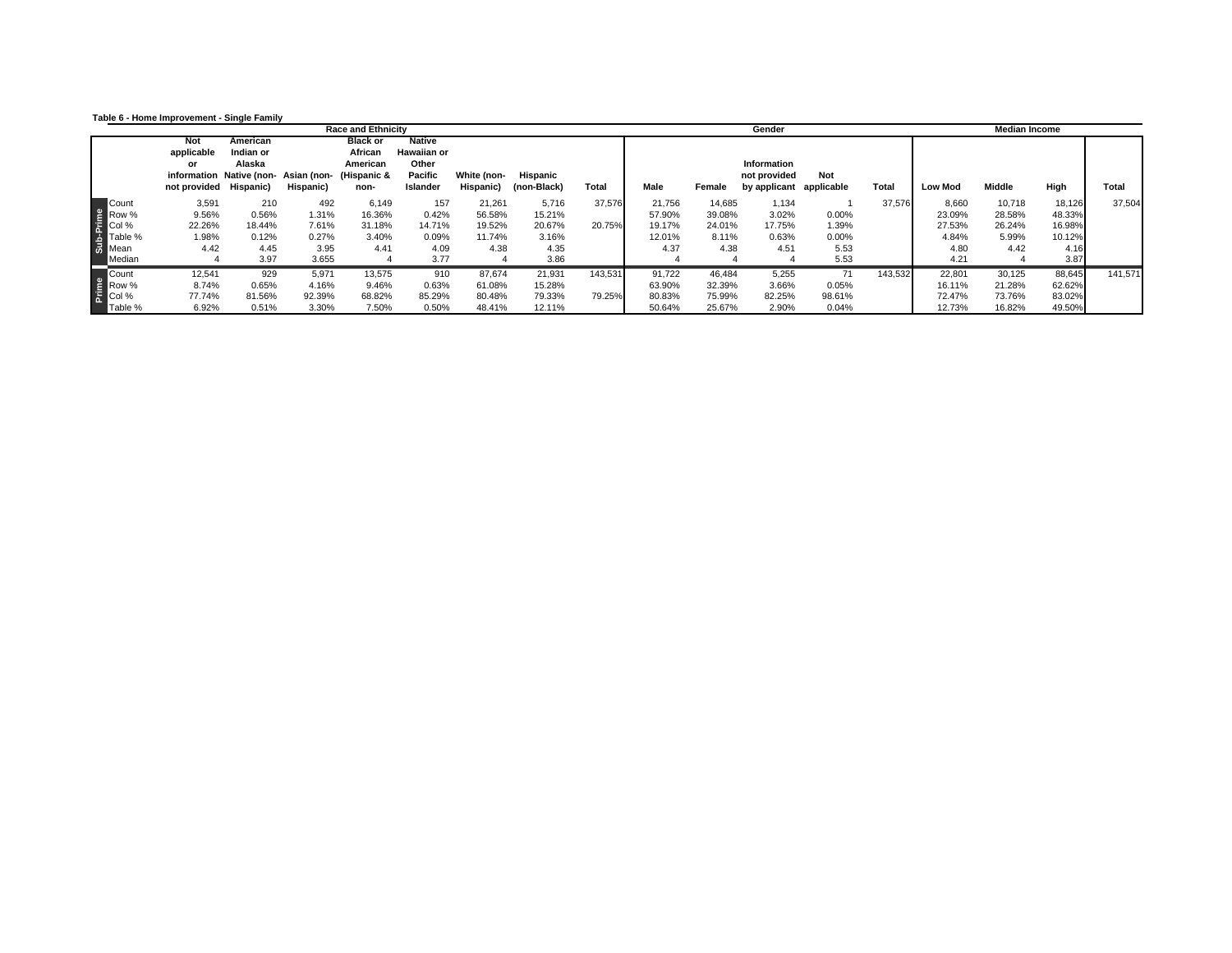**Table 6 - Home Improvement - Single Family**

|                                                             |                        |           |                                     | <b>Race and Ethnicity</b> |                    |             |             |              |        |        | Gender             |            |         |                | <b>Median Income</b> |        |              |
|-------------------------------------------------------------|------------------------|-----------|-------------------------------------|---------------------------|--------------------|-------------|-------------|--------------|--------|--------|--------------------|------------|---------|----------------|----------------------|--------|--------------|
|                                                             | Not                    | American  |                                     | <b>Black or</b>           | <b>Native</b>      |             |             |              |        |        |                    |            |         |                |                      |        |              |
|                                                             | applicable             | Indian or |                                     | African                   | <b>Hawaiian or</b> |             |             |              |        |        |                    |            |         |                |                      |        |              |
|                                                             | or                     | Alaska    |                                     | American                  | Other              |             |             |              |        |        | <b>Information</b> |            |         |                |                      |        |              |
|                                                             |                        |           | information Native (non-Asian (non- | (Hispanic &               | Pacific            | White (non- | Hispanic    |              |        |        | not provided       | Not        |         |                |                      |        |              |
|                                                             | not provided Hispanic) |           | Hispanic)                           | non-                      | Islander           | Hispanic)   | (non-Black) | <b>Total</b> | Male   | Female | by applicant       | applicable | Total   | <b>Low Mod</b> | Middle               | High   | <b>Total</b> |
| E<br>Row %<br>Col %<br>Table %<br>Table %<br>Mean<br>Median | 3,591                  | 210       | 492                                 | 6,149                     | 157                | 21,261      | 5,716       | 37,576       | 21,756 | 14,685 | 1,134              |            | 37,576  | 8,660          | 10,718               | 18,126 | 37,504       |
|                                                             | 9.56%                  | 0.56%     | 1.31%                               | 16.36%                    | 0.42%              | 56.58%      | 15.21%      |              | 57.90% | 39.08% | 3.02%              | 0.00%      |         | 23.09%         | 28.58%               | 48.33% |              |
|                                                             | 22.26%                 | 18.44%    | 7.61%                               | 31.18%                    | 14.71%             | 19.52%      | 20.67%      | 20.75%       | 19.17% | 24.01% | 17.75%             | 1.39%      |         | 27.53%         | 26.24%               | 16.98% |              |
| Table %                                                     | 1.98%                  | 0.12%     | 0.27%                               | 3.40%                     | 0.09%              | 11.74%      | 3.16%       |              | 12.01% | 8.11%  | 0.63%              | 0.00%      |         | 4.84%          | 5.99%                | 10.12% |              |
|                                                             | 4.42                   | 4.45      | 3.95                                | 4.41                      | 4.09               | 4.38        | 4.35        |              | 4.37   | 4.38   | 4.51               | 5.53       |         | 4.80           | 4.42                 | 4.16   |              |
|                                                             |                        | 3.97      | 3.655                               |                           | 3.77               |             | 3.86        |              |        |        |                    | 5.53       |         | 4.21           |                      | 3.87   |              |
| E<br>Row %<br>Col %<br>Table %                              | 12,541                 | 929       | 5,971                               | 13,575                    | 910                | 87,674      | 21,931      | 143,531      | 91,722 | 46,484 | 5,255              | 71         | 143,532 | 22,801         | 30,125               | 88,645 | 141,571      |
|                                                             | 8.74%                  | 0.65%     | 4.16%                               | 9.46%                     | 0.63%              | 61.08%      | 15.28%      |              | 63.90% | 32.39% | 3.66%              | 0.05%      |         | 16.11%         | 21.28%               | 62.62% |              |
|                                                             | 77.74%                 | 81.56%    | 92.39%                              | 68.82%                    | 85.29%             | 80.48%      | 79.33%      | 79.25%       | 80.83% | 75.99% | 82.25%             | 98.61%     |         | 72.47%         | 73.76%               | 83.02% |              |
| Table %                                                     | 6.92%                  | 0.51%     | 3.30%                               | 7.50%                     | 0.50%              | 48.41%      | 12.11%      |              | 50.64% | 25.67% | 2.90%              | 0.04%      |         | 12.73%         | 16.82%               | 49.50% |              |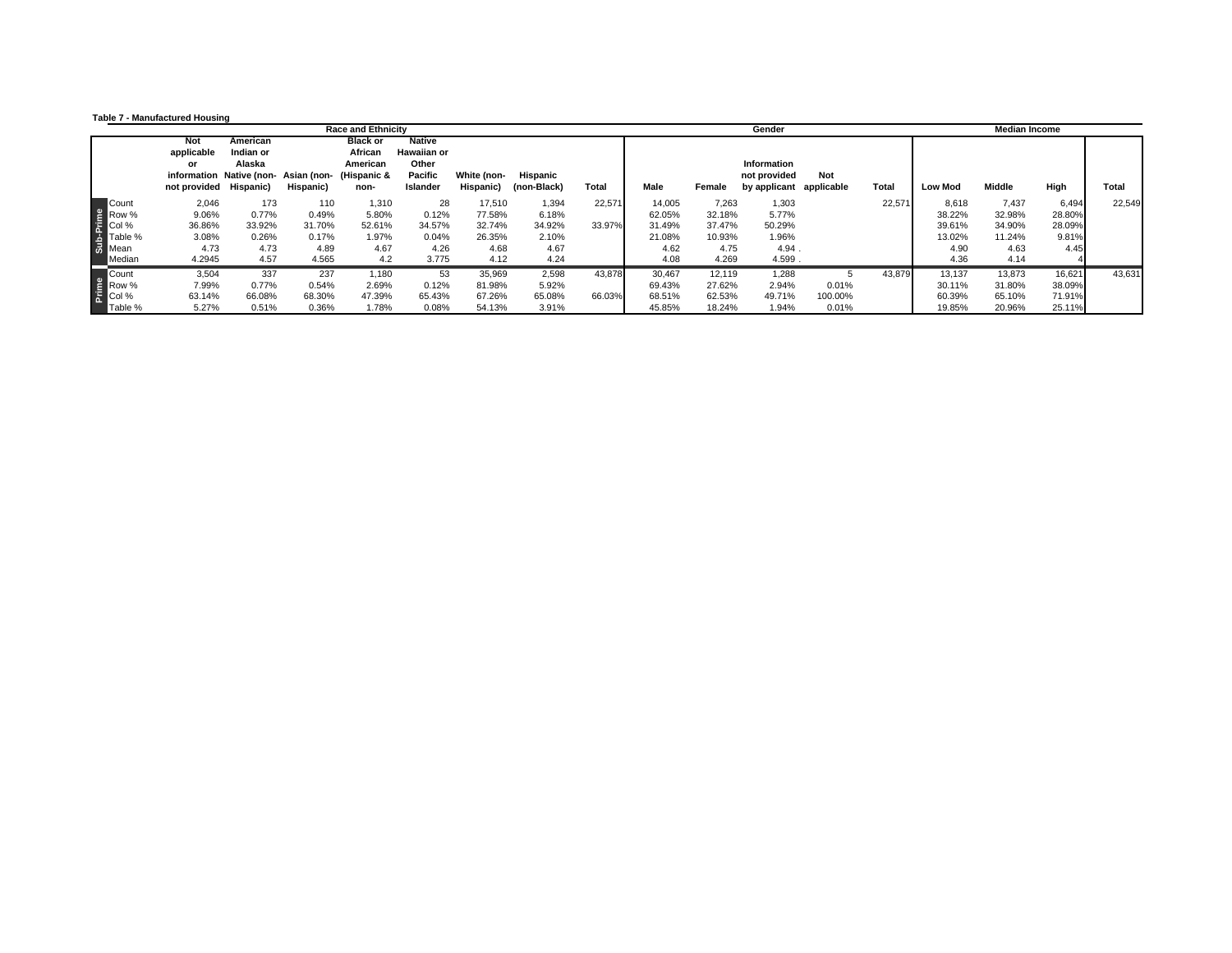|  | Table 7 - Manufactured Housing |  |
|--|--------------------------------|--|
|--|--------------------------------|--|

| Not<br>applicable | American                  |                                         |                                                                     |                                                                                                                            |                                                                                                                         |                                                                  |                                           | Gender<br>Median Income    |                          |                                    |                                                                                                                 |                                                     |                            |                                    |                            |                  |
|-------------------|---------------------------|-----------------------------------------|---------------------------------------------------------------------|----------------------------------------------------------------------------------------------------------------------------|-------------------------------------------------------------------------------------------------------------------------|------------------------------------------------------------------|-------------------------------------------|----------------------------|--------------------------|------------------------------------|-----------------------------------------------------------------------------------------------------------------|-----------------------------------------------------|----------------------------|------------------------------------|----------------------------|------------------|
| or                | Indian or<br>Alaska       | Hispanic)                               | <b>Black or</b><br>African<br>American<br>non-                      | <b>Native</b><br><b>Hawaiian or</b><br>Other<br>Pacific<br>Islander                                                        | White (non-<br>Hispanic)                                                                                                | Hispanic<br>(non-Black)                                          | <b>Total</b>                              | Male                       | Female                   | <b>Information</b><br>not provided | <b>Not</b>                                                                                                      | Total                                               | <b>Low Mod</b>             | <b>Middle</b>                      | High                       | <b>Total</b>     |
| 2,046<br>9.06%    |                           |                                         |                                                                     |                                                                                                                            | 77.58%                                                                                                                  | 1,394<br>6.18%                                                   | 22,571                                    | 14,005<br>62.05%           |                          | 1,303<br>5.77%                     |                                                                                                                 | 22,571                                              | 8,618<br>38.22%            | 7,437<br>32.98%                    | 6,494<br>28.80%            | 22,549           |
| 3.08%<br>4.73     |                           |                                         |                                                                     | 4.26                                                                                                                       | 26.35%<br>4.68                                                                                                          | 2.10%<br>4.67                                                    |                                           | 21.08%<br>4.62             |                          | 1.96%                              |                                                                                                                 |                                                     | 13.02%<br>4.90             | 11.24%<br>4.63                     | 9.81%<br>4.45              |                  |
| 3,504<br>63.14%   | 337                       |                                         |                                                                     | 65.43%                                                                                                                     | 35,969<br>81.98%<br>67.26%                                                                                              | 2,598<br>5.92%<br>65.08%                                         | 43,878<br>66.03%                          | 30,467<br>69.43%<br>68.51% |                          | 1,288<br>2.94%<br>49.71%           | 0.01%<br>100.00%                                                                                                |                                                     | 13,137<br>30.11%<br>60.39% | 13,873<br>31.80%<br>65.10%         | 16,621<br>38.09%<br>71.91% | 43,631           |
|                   | 36.86%<br>4.2945<br>5.27% | not provided Hispanic)<br>4.57<br>7.99% | 173<br>0.77%<br>33.92%<br>0.26%<br>4.73<br>0.77%<br>66.08%<br>0.51% | information Native (non-Asian (non-<br>110<br>0.49%<br>31.70%<br>0.17%<br>4.89<br>4.565<br>237<br>0.54%<br>68.30%<br>0.36% | (Hispanic &<br>1,310<br>5.80%<br>34.57%<br>52.61%<br>1.97%<br>4.67<br>4.2<br>1,180<br>2.69%<br>47.39%<br>1.78%<br>0.08% | 28<br>0.12%<br>32.74%<br>0.04%<br>3.775<br>53<br>0.12%<br>54.13% | 17,510<br>34.92%<br>4.12<br>4.24<br>3.91% | 33.97%                     | 31.49%<br>4.08<br>45.85% |                                    | 7.263<br>32.18%<br>50.29%<br>37.47%<br>10.93%<br>4.75<br>4.269<br>12,119<br>27.62%<br>62.53%<br>18.24%<br>1.94% | by applicant applicable<br>4.94.<br>4.599.<br>0.01% |                            | 39.61%<br>4.36<br>43,879<br>19.85% | 34.90%<br>4.14<br>20.96%   | 28.09%<br>25.11% |